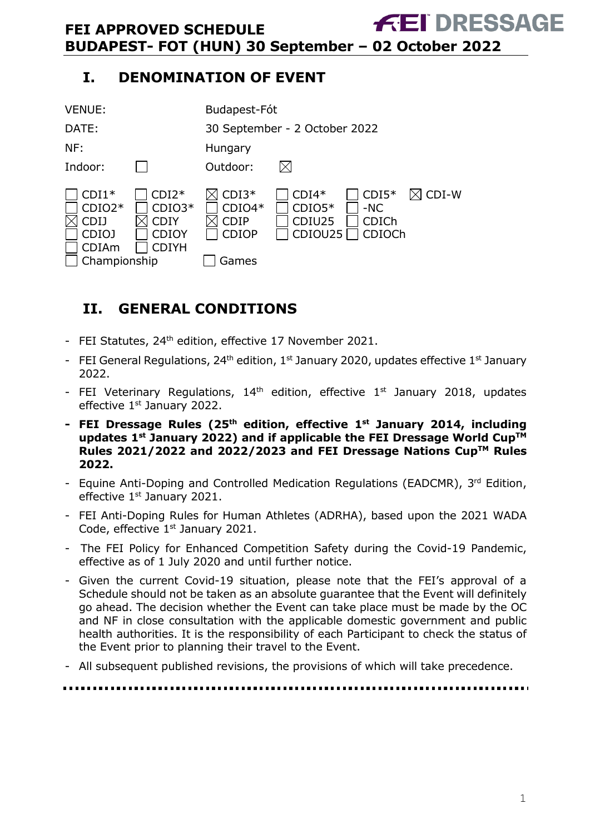# <span id="page-0-0"></span>**I. DENOMINATION OF EVENT**



# <span id="page-0-1"></span>**II. GENERAL CONDITIONS**

- FEI Statutes, 24<sup>th</sup> edition, effective 17 November 2021.
- FEI General Regulations, 24<sup>th</sup> edition, 1<sup>st</sup> January 2020, updates effective 1<sup>st</sup> January 2022.
- FEI Veterinary Regulations,  $14<sup>th</sup>$  edition, effective  $1<sup>st</sup>$  January 2018, updates effective 1<sup>st</sup> January 2022.
- **- FEI Dressage Rules (25 th edition, effective 1st January 2014, including updates 1 st January 2022) and if applicable the FEI Dressage World CupTM Rules 2021/2022 and 2022/2023 and FEI Dressage Nations CupTM Rules 2022.**
- Equine Anti-Doping and Controlled Medication Regulations (EADCMR), 3rd Edition, effective 1<sup>st</sup> January 2021.
- FEI Anti-Doping Rules for Human Athletes (ADRHA), based upon the 2021 WADA Code, effective 1<sup>st</sup> January 2021.
- The FEI Policy for Enhanced Competition Safety during the Covid-19 Pandemic, effective as of 1 July 2020 and until further notice.
- Given the current Covid-19 situation, please note that the FEI's approval of a Schedule should not be taken as an absolute guarantee that the Event will definitely go ahead. The decision whether the Event can take place must be made by the OC and NF in close consultation with the applicable domestic government and public health authorities. It is the responsibility of each Participant to check the status of the Event prior to planning their travel to the Event.
- All subsequent published revisions, the provisions of which will take precedence.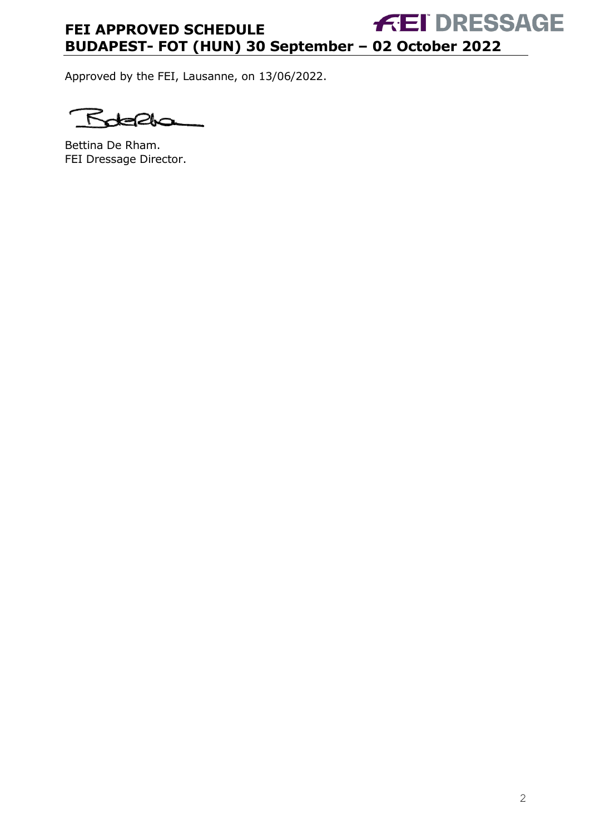Approved by the FEI, Lausanne, on 13/06/2022.

۴ OI.

Bettina De Rham. FEI Dressage Director.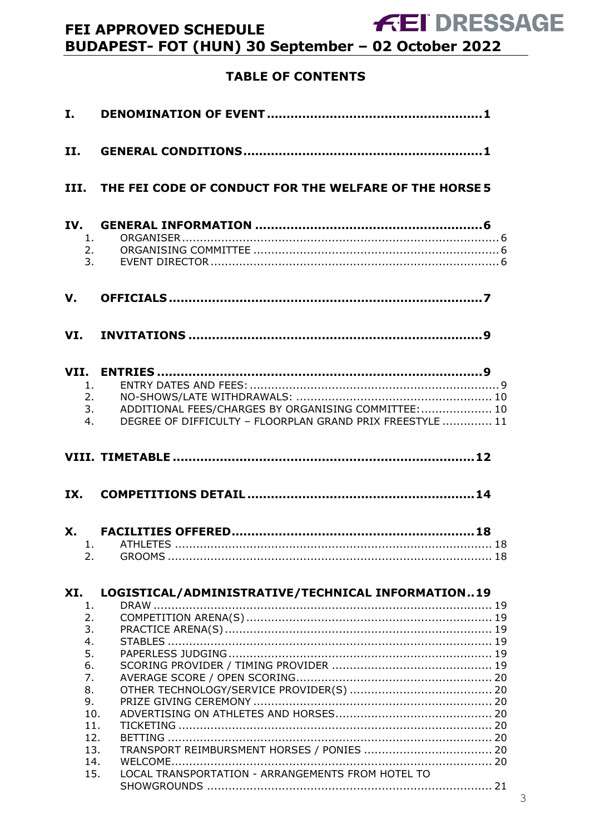# **TABLE OF CONTENTS**

| $\mathbf{I}$ , $\mathbf{I}$                                             |                                                                                                                               |
|-------------------------------------------------------------------------|-------------------------------------------------------------------------------------------------------------------------------|
| II.                                                                     |                                                                                                                               |
|                                                                         | III. THE FEI CODE OF CONDUCT FOR THE WELFARE OF THE HORSE 5                                                                   |
| 2.<br>3.                                                                | 1.                                                                                                                            |
| V.                                                                      |                                                                                                                               |
|                                                                         |                                                                                                                               |
| 1.<br>4.                                                                | 2.<br>ADDITIONAL FEES/CHARGES BY ORGANISING COMMITTEE:  10<br>3.<br>DEGREE OF DIFFICULTY - FLOORPLAN GRAND PRIX FREESTYLE  11 |
|                                                                         |                                                                                                                               |
|                                                                         |                                                                                                                               |
| <b>X.</b><br>2.                                                         |                                                                                                                               |
| XI.<br>1.<br>2.<br>3.<br>4.<br>5.<br>6.<br>7.<br>8.<br>9.<br>10.<br>11. | LOGISTICAL/ADMINISTRATIVE/TECHNICAL INFORMATION19                                                                             |
| 12.<br>13.<br>14.<br>15.                                                | LOCAL TRANSPORTATION - ARRANGEMENTS FROM HOTEL TO                                                                             |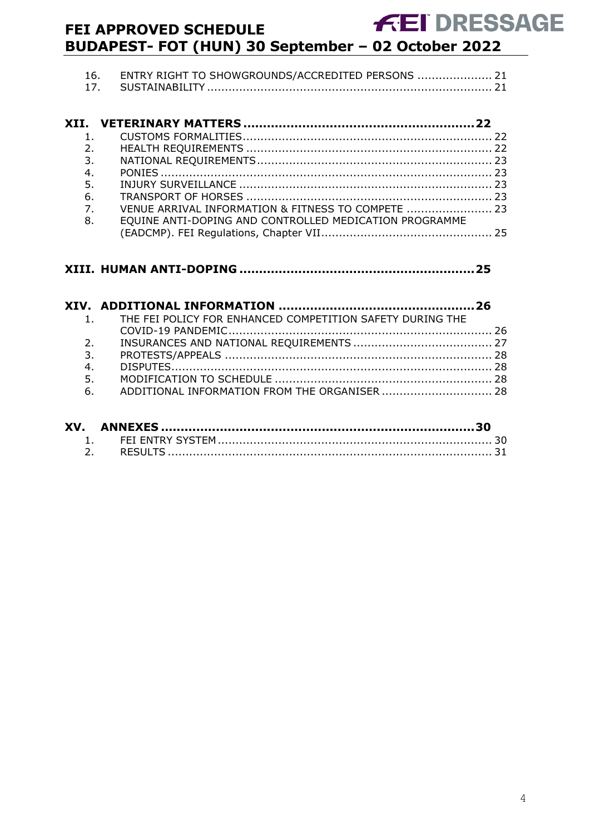| 16. ENTRY RIGHT TO SHOWGROUNDS/ACCREDITED PERSONS  21 |  |
|-------------------------------------------------------|--|
|                                                       |  |

| $\mathbf{1}$                                                           |  |
|------------------------------------------------------------------------|--|
| 2.                                                                     |  |
| 3.                                                                     |  |
| 4.                                                                     |  |
|                                                                        |  |
|                                                                        |  |
| $\overline{7}$ .<br>VENUE ARRIVAL INFORMATION & FITNESS TO COMPETE  23 |  |
| EQUINE ANTI-DOPING AND CONTROLLED MEDICATION PROGRAMME                 |  |
|                                                                        |  |
|                                                                        |  |

# **XIII. HUMAN ANTI-DOPING [............................................................25](#page-24-1)**

|    | 1. THE FEI POLICY FOR ENHANCED COMPETITION SAFETY DURING THE |  |
|----|--------------------------------------------------------------|--|
|    |                                                              |  |
| 2. |                                                              |  |
| 3. |                                                              |  |
| 4. |                                                              |  |
| 5. |                                                              |  |
|    |                                                              |  |
|    |                                                              |  |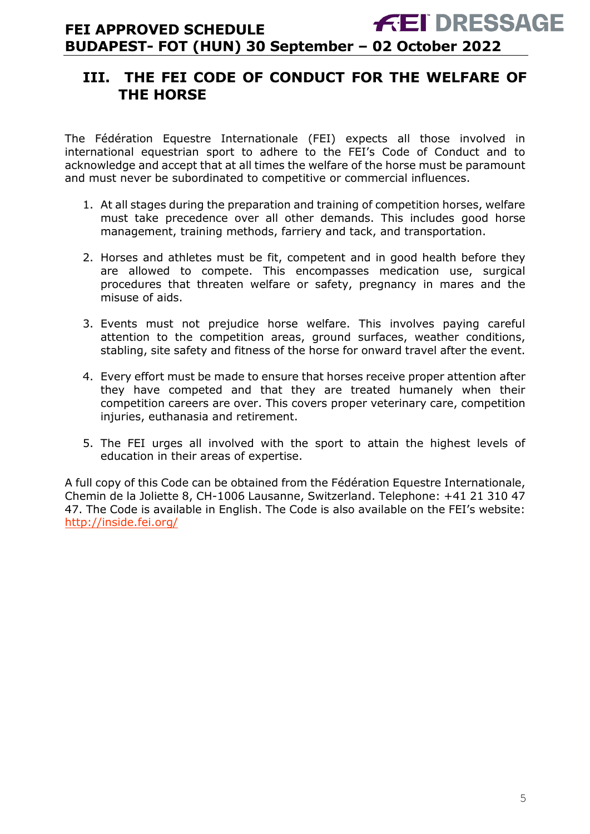# <span id="page-4-0"></span>**III. THE FEI CODE OF CONDUCT FOR THE WELFARE OF THE HORSE**

The Fédération Equestre Internationale (FEI) expects all those involved in international equestrian sport to adhere to the FEI's Code of Conduct and to acknowledge and accept that at all times the welfare of the horse must be paramount and must never be subordinated to competitive or commercial influences.

- 1. At all stages during the preparation and training of competition horses, welfare must take precedence over all other demands. This includes good horse management, training methods, farriery and tack, and transportation.
- 2. Horses and athletes must be fit, competent and in good health before they are allowed to compete. This encompasses medication use, surgical procedures that threaten welfare or safety, pregnancy in mares and the misuse of aids.
- 3. Events must not prejudice horse welfare. This involves paying careful attention to the competition areas, ground surfaces, weather conditions, stabling, site safety and fitness of the horse for onward travel after the event.
- 4. Every effort must be made to ensure that horses receive proper attention after they have competed and that they are treated humanely when their competition careers are over. This covers proper veterinary care, competition injuries, euthanasia and retirement.
- 5. The FEI urges all involved with the sport to attain the highest levels of education in their areas of expertise.

A full copy of this Code can be obtained from the Fédération Equestre Internationale, Chemin de la Joliette 8, CH-1006 Lausanne, Switzerland. Telephone: +41 21 310 47 47. The Code is available in English. The Code is also available on the FEI's website: <http://inside.fei.org/>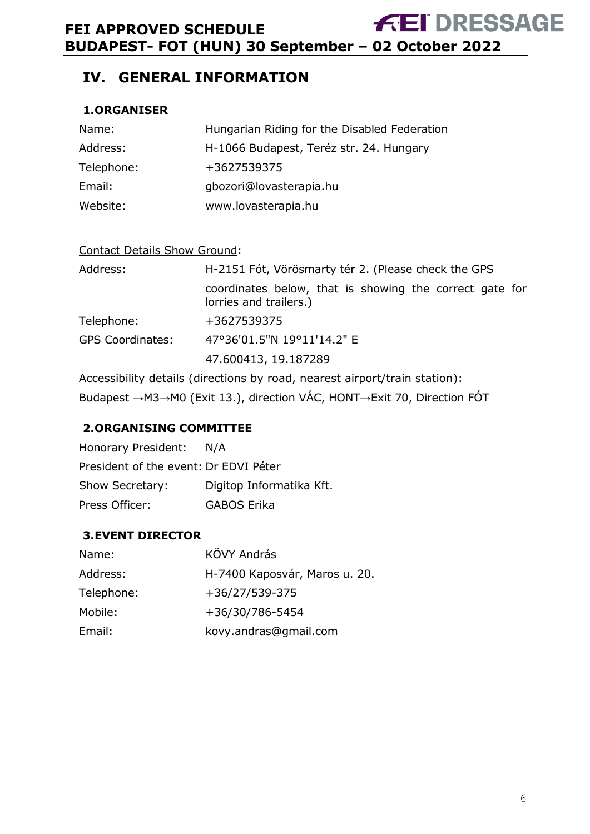# <span id="page-5-0"></span>**IV. GENERAL INFORMATION**

#### <span id="page-5-1"></span>**1.ORGANISER**

| Name:      | Hungarian Riding for the Disabled Federation |
|------------|----------------------------------------------|
| Address:   | H-1066 Budapest, Teréz str. 24. Hungary      |
| Telephone: | +3627539375                                  |
| Email:     | gbozori@lovasterapia.hu                      |
| Website:   | www.lovasterapia.hu                          |

| <b>Contact Details Show Ground:</b> |                                                                                   |  |  |
|-------------------------------------|-----------------------------------------------------------------------------------|--|--|
| Address:                            | H-2151 Fót, Vörösmarty tér 2. (Please check the GPS                               |  |  |
|                                     | coordinates below, that is showing the correct gate for<br>lorries and trailers.) |  |  |
| Telephone:                          | +3627539375                                                                       |  |  |
| <b>GPS Coordinates:</b>             | 47°36'01.5"N 19°11'14.2" E                                                        |  |  |
|                                     | 47.600413, 19.187289                                                              |  |  |

Accessibility details (directions by road, nearest airport/train station): Budapest →M3→M0 (Exit 13.), direction VÁC, HONT→Exit 70, Direction FÓT

### <span id="page-5-2"></span>**2.ORGANISING COMMITTEE**

| Honorary President:                   | N/A                      |
|---------------------------------------|--------------------------|
| President of the event: Dr EDVI Péter |                          |
| Show Secretary:                       | Digitop Informatika Kft. |
| Press Officer:                        | GABOS Erika              |

### <span id="page-5-3"></span>**3.EVENT DIRECTOR**

| Name:      | KÖVY András                   |
|------------|-------------------------------|
| Address:   | H-7400 Kaposvár, Maros u. 20. |
| Telephone: | +36/27/539-375                |
| Mobile:    | +36/30/786-5454               |
| Email:     | kovy.andras@gmail.com         |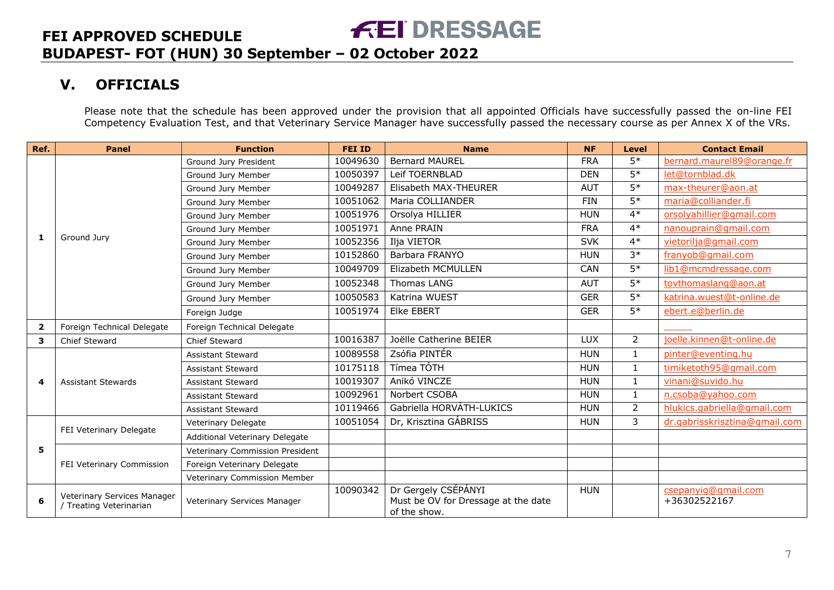# **V. OFFICIALS**

Please note that the schedule has been approved under the provision that all appointed Officials have successfully passed the on-line FEI Competency Evaluation Test, and that Veterinary Service Manager have successfully passed the necessary course as per Annex X of the VRs.

<span id="page-6-0"></span>

| Ref.                    | <b>Panel</b>                                           | <b>Function</b>                 | <b>FEI ID</b> | <b>Name</b>                                                                | <b>NF</b>  | <b>Level</b>    | <b>Contact Email</b>                |
|-------------------------|--------------------------------------------------------|---------------------------------|---------------|----------------------------------------------------------------------------|------------|-----------------|-------------------------------------|
|                         |                                                        | Ground Jury President           | 10049630      | <b>Bernard MAUREL</b>                                                      | <b>FRA</b> | $5*$            | bernard.maurel89@orange.fr          |
|                         |                                                        | Ground Jury Member              | 10050397      | Leif TOERNBLAD                                                             | <b>DEN</b> | $5*$            | let@tornblad.dk                     |
|                         |                                                        | Ground Jury Member              | 10049287      | Elisabeth MAX-THEURER                                                      | <b>AUT</b> | $5*$            | max-theurer@aon.at                  |
|                         |                                                        | Ground Jury Member              | 10051062      | Maria COLLIANDER                                                           | <b>FIN</b> | $5*$            | maria@colliander.fi                 |
|                         |                                                        | Ground Jury Member              | 10051976      | Orsolya HILLIER                                                            | <b>HUN</b> | $4*$            | orsolyahillier@gmail.com            |
|                         |                                                        | Ground Jury Member              | 10051971      | Anne PRAIN                                                                 | <b>FRA</b> | $4*$            | nanouprain@gmail.com                |
| 1                       | Ground Jury                                            | Ground Jury Member              | 10052356      | Ilja VIETOR                                                                | <b>SVK</b> | $4*$            | vietorilja@gmail.com                |
|                         |                                                        | Ground Jury Member              | 10152860      | Barbara FRANYO                                                             | <b>HUN</b> | $3*$            | franyob@gmail.com                   |
|                         |                                                        | Ground Jury Member              | 10049709      | Elizabeth MCMULLEN                                                         | CAN        | $5*$            | lib1@mcmdressage.com                |
|                         |                                                        | Ground Jury Member              | 10052348      | Thomas LANG                                                                | <b>AUT</b> | $5*$            | tovthomaslang@aon.at                |
|                         |                                                        | Ground Jury Member              | 10050583      | Katrina WUEST                                                              | <b>GER</b> | $5*$            | katrina.wuest@t-online.de           |
|                         |                                                        | Foreign Judge                   | 10051974      | <b>Elke EBERT</b>                                                          | <b>GER</b> | $\overline{5*}$ | ebert.e@berlin.de                   |
| $\overline{\mathbf{2}}$ | Foreign Technical Delegate                             | Foreign Technical Delegate      |               |                                                                            |            |                 |                                     |
| 3                       | Chief Steward                                          | Chief Steward                   | 10016387      | Joëlle Catherine BEIER                                                     | <b>LUX</b> | $\overline{2}$  | joelle.kinnen@t-online.de           |
|                         | <b>Assistant Stewards</b>                              | <b>Assistant Steward</b>        | 10089558      | Zsófia PINTÉR                                                              | <b>HUN</b> | $\mathbf{1}$    | pinter@eventing.hu                  |
|                         |                                                        | <b>Assistant Steward</b>        | 10175118      | Tímea TÓTH                                                                 | <b>HUN</b> | 1               | timiketoth95@gmail.com              |
| 4                       |                                                        | <b>Assistant Steward</b>        | 10019307      | Anikó VINCZE                                                               | <b>HUN</b> | $\mathbf{1}$    | vinani@suvido.hu                    |
|                         |                                                        | <b>Assistant Steward</b>        | 10092961      | Norbert CSOBA                                                              | <b>HUN</b> | $\mathbf{1}$    | n.csoba@yahoo.com                   |
|                         |                                                        | <b>Assistant Steward</b>        | 10119466      | Gabriella HORVÁTH-LUKICS                                                   | <b>HUN</b> | $\overline{2}$  | hlukics.gabriella@gmail.com         |
|                         | FEI Veterinary Delegate                                | Veterinary Delegate             | 10051054      | Dr, Krisztina GÁBRISS                                                      | <b>HUN</b> | 3               | dr.gabrisskrisztina@gmail.com       |
|                         |                                                        | Additional Veterinary Delegate  |               |                                                                            |            |                 |                                     |
| 5.                      |                                                        | Veterinary Commission President |               |                                                                            |            |                 |                                     |
|                         | FEI Veterinary Commission                              | Foreign Veterinary Delegate     |               |                                                                            |            |                 |                                     |
|                         |                                                        | Veterinary Commission Member    |               |                                                                            |            |                 |                                     |
| 6                       | Veterinary Services Manager<br>/ Treating Veterinarian | Veterinary Services Manager     | 10090342      | Dr Gergely CSÉPÁNYI<br>Must be OV for Dressage at the date<br>of the show. | <b>HUN</b> |                 | csepanyig@gmail.com<br>+36302522167 |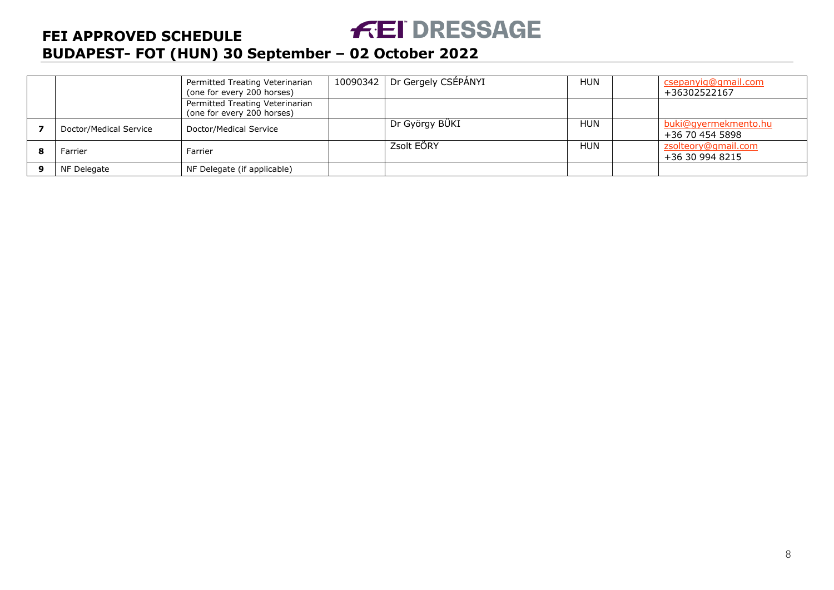# **FEI DRESSAGE**

# **FEI APPROVED SCHEDULE BUDAPEST- FOT (HUN) 30 September – 02 October 2022**

|                        | Permitted Treating Veterinarian<br>(one for every 200 horses) | 10090342 | Dr Gergely CSÉPÁNYI | <b>HUN</b> | csepanyig@gmail.com<br>+36302522167     |
|------------------------|---------------------------------------------------------------|----------|---------------------|------------|-----------------------------------------|
|                        | Permitted Treating Veterinarian<br>(one for every 200 horses) |          |                     |            |                                         |
| Doctor/Medical Service | Doctor/Medical Service                                        |          | Dr György BÜKI      | <b>HUN</b> | buki@gyermekmento.hu<br>+36 70 454 5898 |
| Farrier                | Farrier                                                       |          | Zsolt EÖRY          | <b>HUN</b> | zsolteory@gmail.com<br>+36 30 994 8215  |
| NF Delegate            | NF Delegate (if applicable)                                   |          |                     |            |                                         |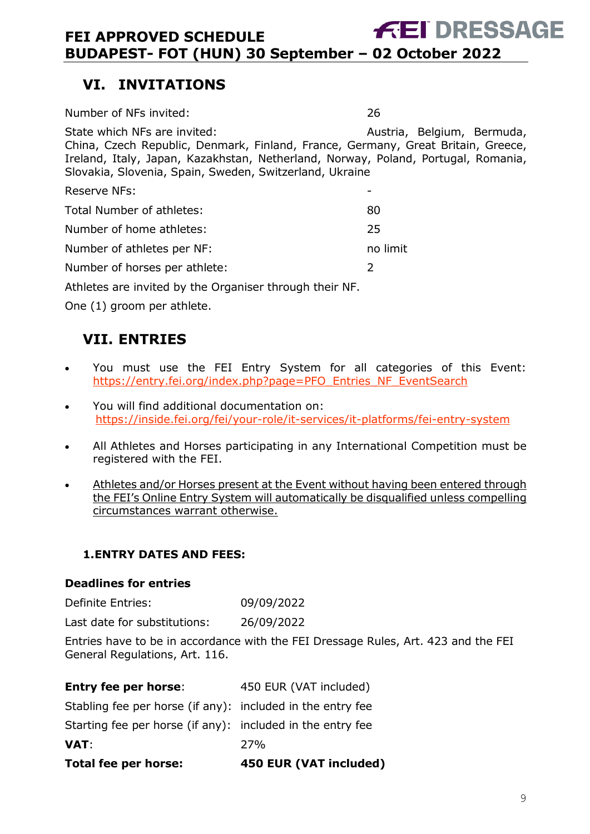# <span id="page-8-0"></span>**VI. INVITATIONS**

| Number of NFs invited:                                                                                                                                                                                                                                           | 26                         |
|------------------------------------------------------------------------------------------------------------------------------------------------------------------------------------------------------------------------------------------------------------------|----------------------------|
| State which NFs are invited:<br>China, Czech Republic, Denmark, Finland, France, Germany, Great Britain, Greece,<br>Ireland, Italy, Japan, Kazakhstan, Netherland, Norway, Poland, Portugal, Romania,<br>Slovakia, Slovenia, Spain, Sweden, Switzerland, Ukraine | Austria, Belgium, Bermuda, |
| <b>Reserve NFs:</b>                                                                                                                                                                                                                                              |                            |
| Total Number of athletes:                                                                                                                                                                                                                                        | 80                         |
| Number of home athletes:                                                                                                                                                                                                                                         | 25                         |
| Number of athletes per NF:                                                                                                                                                                                                                                       | no limit                   |
| Number of horses per athlete:                                                                                                                                                                                                                                    | 2                          |
| Athletes are invited by the Organiser through their NF.                                                                                                                                                                                                          |                            |
| One (1) groom per athlete.                                                                                                                                                                                                                                       |                            |
|                                                                                                                                                                                                                                                                  |                            |

# <span id="page-8-1"></span>**VII. ENTRIES**

- You must use the FEI Entry System for all categories of this Event: [https://entry.fei.org/index.php?page=PFO\\_Entries\\_NF\\_EventSearch](https://entry.fei.org/index.php?page=PFO_Entries_NF_EventSearch)
- You will find additional documentation on: <https://inside.fei.org/fei/your-role/it-services/it-platforms/fei-entry-system>
- All Athletes and Horses participating in any International Competition must be registered with the FEI.
- Athletes and/or Horses present at the Event without having been entered through the FEI's Online Entry System will automatically be disqualified unless compelling circumstances warrant otherwise.

#### <span id="page-8-2"></span>**1.ENTRY DATES AND FEES:**

#### **Deadlines for entries**

Definite Entries: 09/09/2022

Last date for substitutions: 26/09/2022

Entries have to be in accordance with the FEI Dressage Rules, Art. 423 and the FEI General Regulations, Art. 116.

| <b>Total fee per horse:</b>                                | 450 EUR (VAT included) |
|------------------------------------------------------------|------------------------|
| <b>VAT</b>                                                 | 27%                    |
| Starting fee per horse (if any): included in the entry fee |                        |
| Stabling fee per horse (if any): included in the entry fee |                        |
| <b>Entry fee per horse:</b>                                | 450 EUR (VAT included) |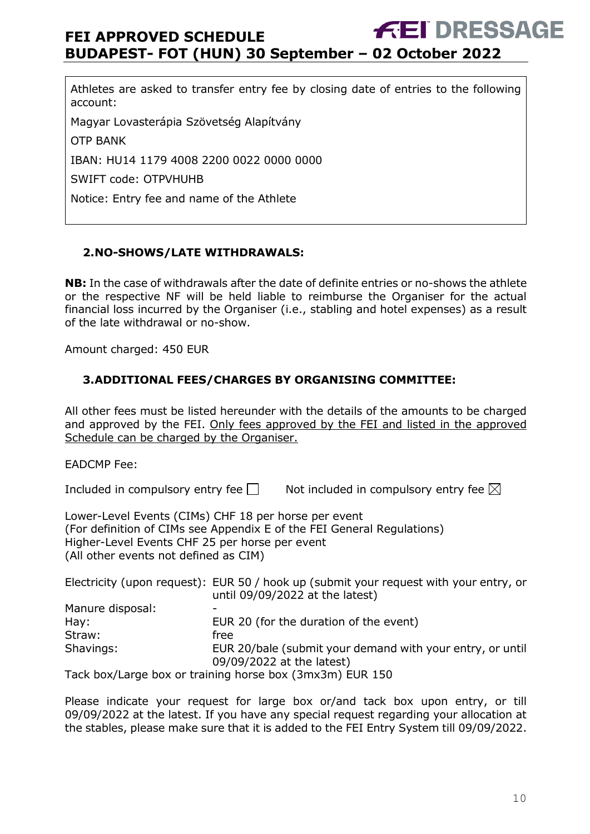Athletes are asked to transfer entry fee by closing date of entries to the following account:

Magyar Lovasterápia Szövetség Alapítvány

OTP BANK

IBAN: HU14 1179 4008 2200 0022 0000 0000

SWIFT code: OTPVHUHB

Notice: Entry fee and name of the Athlete

#### <span id="page-9-0"></span>**2.NO-SHOWS/LATE WITHDRAWALS:**

**NB:** In the case of withdrawals after the date of definite entries or no-shows the athlete or the respective NF will be held liable to reimburse the Organiser for the actual financial loss incurred by the Organiser (i.e., stabling and hotel expenses) as a result of the late withdrawal or no-show.

Amount charged: 450 EUR

#### <span id="page-9-1"></span>**3.ADDITIONAL FEES/CHARGES BY ORGANISING COMMITTEE:**

All other fees must be listed hereunder with the details of the amounts to be charged and approved by the FEI. Only fees approved by the FEI and listed in the approved Schedule can be charged by the Organiser.

EADCMP Fee:

Included in compulsory entry fee  $\Box$  Not included in compulsory entry fee  $\boxtimes$ 

Lower-Level Events (CIMs) CHF 18 per horse per event (For definition of CIMs see Appendix E of the FEI General Regulations) Higher-Level Events CHF 25 per horse per event (All other events not defined as CIM)

|                  | Electricity (upon request): EUR 50 / hook up (submit your request with your entry, or<br>until 09/09/2022 at the latest) |
|------------------|--------------------------------------------------------------------------------------------------------------------------|
| Manure disposal: |                                                                                                                          |
| $\mathsf{Hay:}$  | EUR 20 (for the duration of the event)                                                                                   |
| Straw:           | free                                                                                                                     |
| Shavings:        | EUR 20/bale (submit your demand with your entry, or until<br>09/09/2022 at the latest)                                   |
|                  | Tack box/Large box or training horse box (3mx3m) EUR 150                                                                 |

Please indicate your request for large box or/and tack box upon entry, or till 09/09/2022 at the latest. If you have any special request regarding your allocation at the stables, please make sure that it is added to the FEI Entry System till 09/09/2022.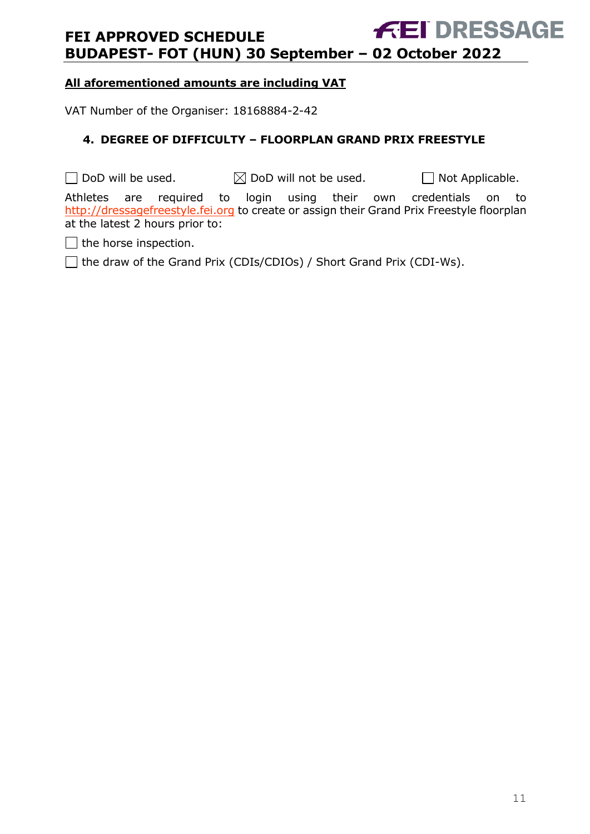#### **All aforementioned amounts are including VAT**

VAT Number of the Organiser: 18168884-2-42

#### <span id="page-10-0"></span>**4. DEGREE OF DIFFICULTY – FLOORPLAN GRAND PRIX FREESTYLE**

 $\Box$  DoD will be used.  $\boxtimes$  DoD will not be used.  $\Box$  Not Applicable.

Athletes are required to login using their own credentials on to [http://dressagefreestyle.fei.org](http://dressagefreestyle.fei.org/) to create or assign their Grand Prix Freestyle floorplan at the latest 2 hours prior to:

 $\Box$  the horse inspection.

□ the draw of the Grand Prix (CDIs/CDIOs) / Short Grand Prix (CDI-Ws).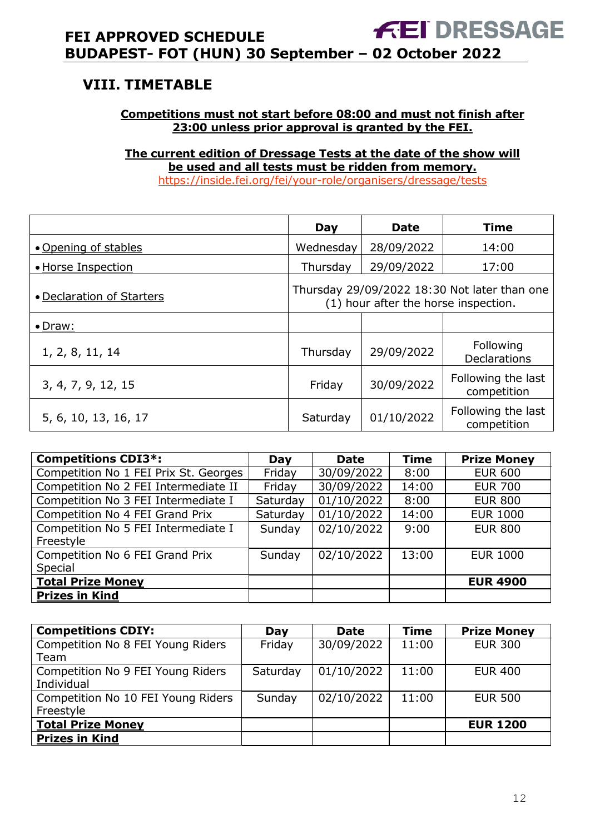# <span id="page-11-0"></span>**VIII. TIMETABLE**

#### **Competitions must not start before 08:00 and must not finish after 23:00 unless prior approval is granted by the FEI.**

**The current edition of Dressage Tests at the date of the show will be used and all tests must be ridden from memory.** <https://inside.fei.org/fei/your-role/organisers/dressage/tests>

|                           | Day                                                                                  | <b>Date</b> | Time                              |
|---------------------------|--------------------------------------------------------------------------------------|-------------|-----------------------------------|
| • Opening of stables      | Wednesday                                                                            | 28/09/2022  | 14:00                             |
| • Horse Inspection        | Thursday                                                                             | 29/09/2022  | 17:00                             |
| • Declaration of Starters | Thursday 29/09/2022 18:30 Not later than one<br>(1) hour after the horse inspection. |             |                                   |
| $\bullet$ Draw:           |                                                                                      |             |                                   |
| 1, 2, 8, 11, 14           | Thursday                                                                             | 29/09/2022  | Following<br><b>Declarations</b>  |
| 3, 4, 7, 9, 12, 15        | Friday                                                                               | 30/09/2022  | Following the last<br>competition |
| 5, 6, 10, 13, 16, 17      | Saturday                                                                             | 01/10/2022  | Following the last<br>competition |

| <b>Competitions CDI3*:</b>            | Day      | <b>Date</b> | <b>Time</b> | <b>Prize Money</b> |
|---------------------------------------|----------|-------------|-------------|--------------------|
| Competition No 1 FEI Prix St. Georges | Friday   | 30/09/2022  | 8:00        | <b>EUR 600</b>     |
| Competition No 2 FEI Intermediate II  | Friday   | 30/09/2022  | 14:00       | <b>EUR 700</b>     |
| Competition No 3 FEI Intermediate I   | Saturday | 01/10/2022  | 8:00        | <b>EUR 800</b>     |
| Competition No 4 FEI Grand Prix       | Saturday | 01/10/2022  | 14:00       | <b>EUR 1000</b>    |
| Competition No 5 FEI Intermediate I   | Sunday   | 02/10/2022  | 9:00        | <b>EUR 800</b>     |
| Freestyle                             |          |             |             |                    |
| Competition No 6 FEI Grand Prix       | Sunday   | 02/10/2022  | 13:00       | <b>EUR 1000</b>    |
| Special                               |          |             |             |                    |
| <b>Total Prize Money</b>              |          |             |             | <b>EUR 4900</b>    |
| <b>Prizes in Kind</b>                 |          |             |             |                    |

| <b>Competitions CDIY:</b>                       | Day      | <b>Date</b> | <b>Time</b> | <b>Prize Money</b> |
|-------------------------------------------------|----------|-------------|-------------|--------------------|
| Competition No 8 FEI Young Riders<br>Team       | Friday   | 30/09/2022  | 11:00       | <b>EUR 300</b>     |
| Competition No 9 FEI Young Riders<br>Individual | Saturday | 01/10/2022  | 11:00       | <b>EUR 400</b>     |
| Competition No 10 FEI Young Riders<br>Freestyle | Sunday   | 02/10/2022  | 11:00       | <b>EUR 500</b>     |
| <b>Total Prize Money</b>                        |          |             |             | <b>EUR 1200</b>    |
| <b>Prizes in Kind</b>                           |          |             |             |                    |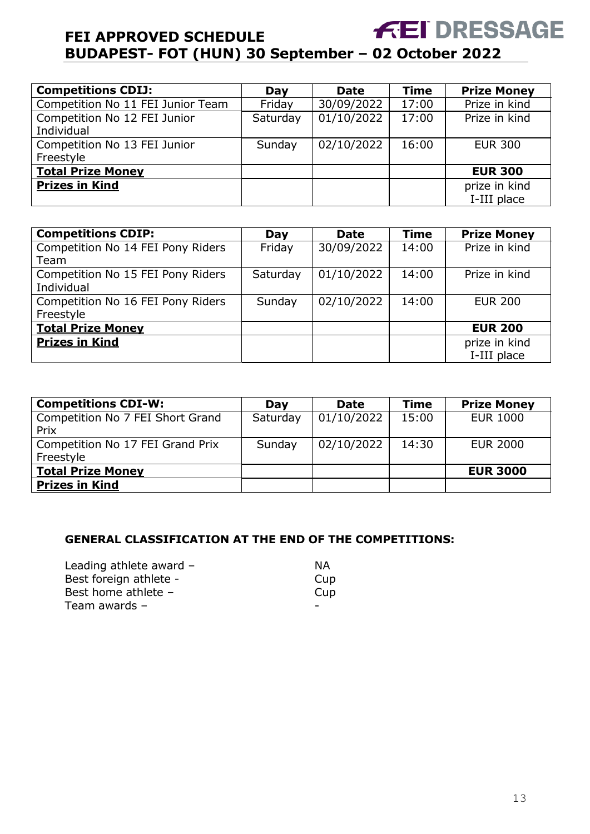| <b>Competitions CDIJ:</b>         | Day      | <b>Date</b> | <b>Time</b> | <b>Prize Money</b> |
|-----------------------------------|----------|-------------|-------------|--------------------|
| Competition No 11 FEI Junior Team | Friday   | 30/09/2022  | 17:00       | Prize in kind      |
| Competition No 12 FEI Junior      | Saturday | 01/10/2022  | 17:00       | Prize in kind      |
| Individual                        |          |             |             |                    |
| Competition No 13 FEI Junior      | Sunday   | 02/10/2022  | 16:00       | <b>EUR 300</b>     |
| Freestyle                         |          |             |             |                    |
| <b>Total Prize Money</b>          |          |             |             | <b>EUR 300</b>     |
| <b>Prizes in Kind</b>             |          |             |             | prize in kind      |
|                                   |          |             |             | I-III place        |

| <b>Competitions CDIP:</b>         | Day      | <b>Date</b> | <b>Time</b> | <b>Prize Money</b> |
|-----------------------------------|----------|-------------|-------------|--------------------|
| Competition No 14 FEI Pony Riders | Friday   | 30/09/2022  | 14:00       | Prize in kind      |
| Team                              |          |             |             |                    |
| Competition No 15 FEI Pony Riders | Saturday | 01/10/2022  | 14:00       | Prize in kind      |
| Individual                        |          |             |             |                    |
| Competition No 16 FEI Pony Riders | Sunday   | 02/10/2022  | 14:00       | <b>EUR 200</b>     |
| Freestyle                         |          |             |             |                    |
| <b>Total Prize Money</b>          |          |             |             | <b>EUR 200</b>     |
| <b>Prizes in Kind</b>             |          |             |             | prize in kind      |
|                                   |          |             |             | I-III place        |

| <b>Competitions CDI-W:</b>                    | Dav      | <b>Date</b> | <b>Time</b> | <b>Prize Money</b> |
|-----------------------------------------------|----------|-------------|-------------|--------------------|
| Competition No 7 FEI Short Grand<br>Prix      | Saturday | 01/10/2022  | 15:00       | <b>EUR 1000</b>    |
| Competition No 17 FEI Grand Prix<br>Freestyle | Sunday   | 02/10/2022  | 14:30       | <b>EUR 2000</b>    |
| <b>Total Prize Money</b>                      |          |             |             | <b>EUR 3000</b>    |
| <b>Prizes in Kind</b>                         |          |             |             |                    |

#### **GENERAL CLASSIFICATION AT THE END OF THE COMPETITIONS:**

| Leading athlete award $-$ | ΝA  |
|---------------------------|-----|
| Best foreign athlete -    | Cup |
| Best home athlete -       | Cup |
| Team awards $-$           |     |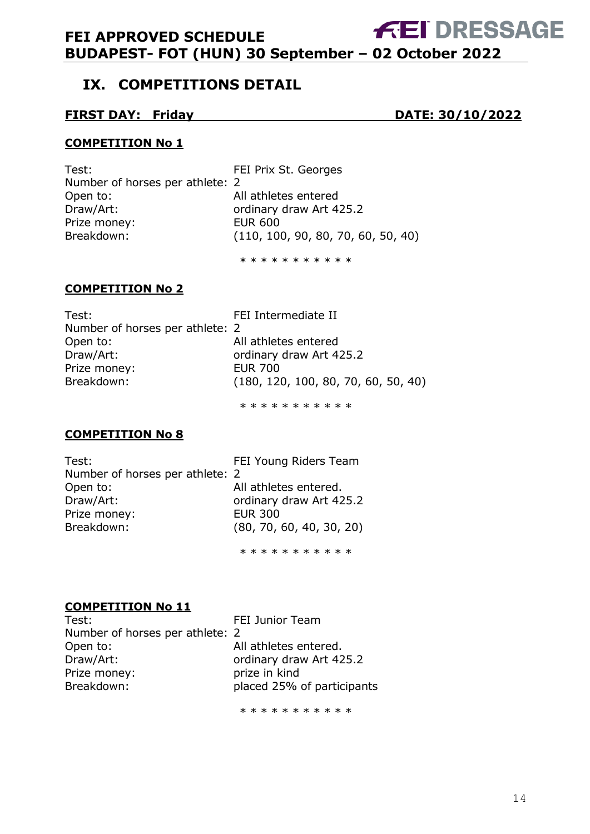# <span id="page-13-0"></span>**IX. COMPETITIONS DETAIL**

#### **FIRST DAY: Friday DATE: 30/10/2022**

#### **COMPETITION No 1**

Test: Test: Test: Test: Test: Test: Test: Test: Test: Test: Test: Test: Test: Test: Test: Test: Test: Test: Te Number of horses per athlete: 2 Open to: All athletes entered Draw/Art: **Draw/Art:** ordinary draw Art 425.2 Prize money:<br>Breakdown: (110, 10)  $(110, 100, 90, 80, 70, 60, 50, 40)$ 

\* \* \* \* \* \* \* \* \* \* \*

#### **COMPETITION No 2**

| Test:                           | FEI Intermediate II                 |
|---------------------------------|-------------------------------------|
| Number of horses per athlete: 2 |                                     |
| Open to:                        | All athletes entered                |
| Draw/Art:                       | ordinary draw Art 425.2             |
| Prize money:                    | EUR 700                             |
| Breakdown:                      | (180, 120, 100, 80, 70, 60, 50, 40) |
|                                 |                                     |

\* \* \* \* \* \* \* \* \* \*

#### **COMPETITION No 8**

| Test:                           | FEI Young Riders Team    |
|---------------------------------|--------------------------|
| Number of horses per athlete: 2 |                          |
| Open to:                        | All athletes entered.    |
| Draw/Art:                       | ordinary draw Art 425.2  |
| Prize money:                    | <b>EUR 300</b>           |
| Breakdown:                      | (80, 70, 60, 40, 30, 20) |
|                                 |                          |

\* \* \* \* \* \* \* \* \* \* \*

#### **COMPETITION No 11**

| Test:                           | FEI Junior Team            |
|---------------------------------|----------------------------|
| Number of horses per athlete: 2 |                            |
| Open to:                        | All athletes entered.      |
| Draw/Art:                       | ordinary draw Art 425.2    |
| Prize money:                    | prize in kind              |
| Breakdown:                      | placed 25% of participants |
|                                 |                            |

\* \* \* \* \* \* \* \* \* \* \*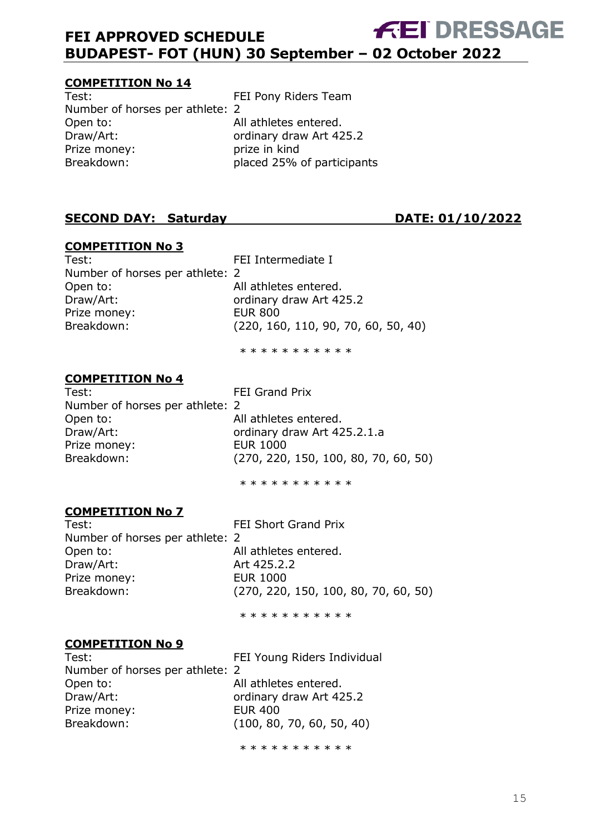#### **COMPETITION No 14**

Test: Test: FEI Pony Riders Team Number of horses per athlete: 2 Open to: All athletes entered. Draw/Art: **Draw/Art:** ordinary draw Art 425.2 Prize money:<br>Breakdown: prize in kind<br>placed 25%

placed 25% of participants

#### **SECOND DAY: Saturday DATE: 01/10/2022**

#### **COMPETITION No 3**

Test: Test: FEI Intermediate I Number of horses per athlete: 2 Open to: All athletes entered. Draw/Art: compared to the ordinary draw Art 425.2 Prize money: EUR 800

Breakdown: (220, 160, 110, 90, 70, 60, 50, 40)

\* \* \* \* \* \* \* \* \* \*

#### **COMPETITION No 4**

Test: FEI Grand Prix Number of horses per athlete: 2 Open to: All athletes entered. Draw/Art: crows ordinary draw Art 425.2.1.a Prize money: EUR 1000 Breakdown: (270, 220, 150, 100, 80, 70, 60, 50)

\* \* \* \* \* \* \* \* \* \*

#### **COMPETITION No 7**

Number of horses per athlete: 2 Open to: All athletes entered. Draw/Art: **Art 425.2.2** Prize money: EUR 1000

Test: Test: FEI Short Grand Prix Breakdown: (270, 220, 150, 100, 80, 70, 60, 50)

\* \* \* \* \* \* \* \* \* \*

#### **COMPETITION No 9**

Number of horses per athlete: 2 Open to: All athletes entered. Draw/Art: **Draw/Art:** ordinary draw Art 425.2 Prize money: EUR 400 Breakdown: (100, 80, 70, 60, 50, 40)

Test: Test: FEI Young Riders Individual

\* \* \* \* \* \* \* \* \* \*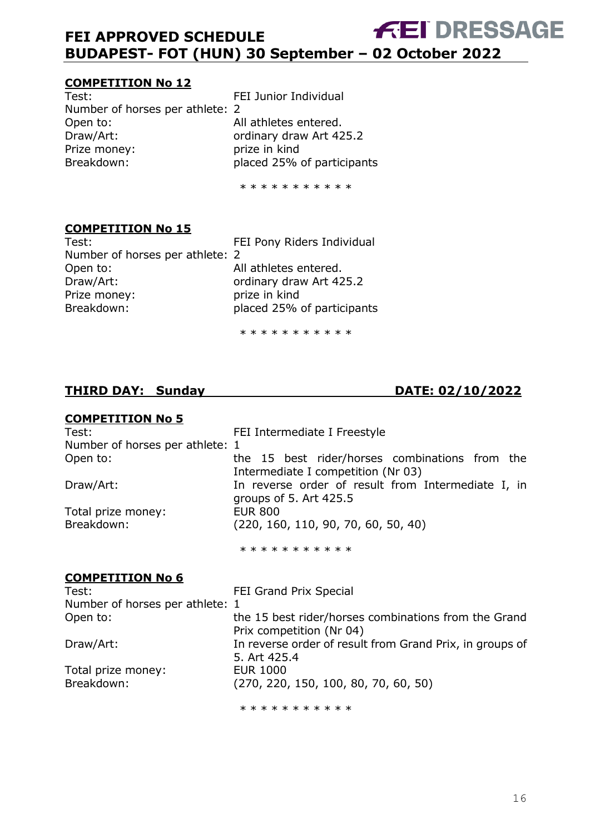#### **COMPETITION No 12**

Test: Test: FEI Junior Individual Number of horses per athlete: 2 Open to: All athletes entered.<br>Draw/Art: compared braw Art 42 Prize money: prize in kind Breakdown: placed 25% of participants

ordinary draw Art 425.2

\* \* \* \* \* \* \* \* \* \* \*

#### **COMPETITION No 15**

Test: FEI Pony Riders Individual Number of horses per athlete: 2 Open to: All athletes entered. Draw/Art: **Draw/Art:** ordinary draw Art 425.2 Prize money: prize in kind Breakdown: placed 25% of participants

\* \* \* \* \* \* \* \* \* \*

# **THIRD DAY: Sunday DATE: 02/10/2022**

# **COMPETITION No 5**

| Test:                           | FEI Intermediate I Freestyle                                                         |
|---------------------------------|--------------------------------------------------------------------------------------|
| Number of horses per athlete: 1 |                                                                                      |
| Open to:                        | the 15 best rider/horses combinations from the<br>Intermediate I competition (Nr 03) |
| Draw/Art:                       | In reverse order of result from Intermediate I, in<br>groups of $5.$ Art $425.5$     |
| Total prize money:              | <b>EUR 800</b>                                                                       |
| Breakdown:                      | (220, 160, 110, 90, 70, 60, 50, 40)                                                  |
|                                 | * * * * * * * * * * *                                                                |
| <b>COMPETITION No 6</b>         |                                                                                      |
| Test:                           | <b>FEI Grand Prix Special</b>                                                        |
| Number of horses per athlete: 1 |                                                                                      |
| Open to:                        | the 15 best rider/horses combinations from the Grand<br>Prix competition (Nr 04)     |
| Draw/Art:                       | In reverse order of result from Grand Prix, in groups of<br>5. Art 425.4             |
| Total prize money:              | <b>EUR 1000</b>                                                                      |
| Breakdown:                      | (270, 220, 150, 100, 80, 70, 60, 50)                                                 |
|                                 | * * * * * * * * * * *                                                                |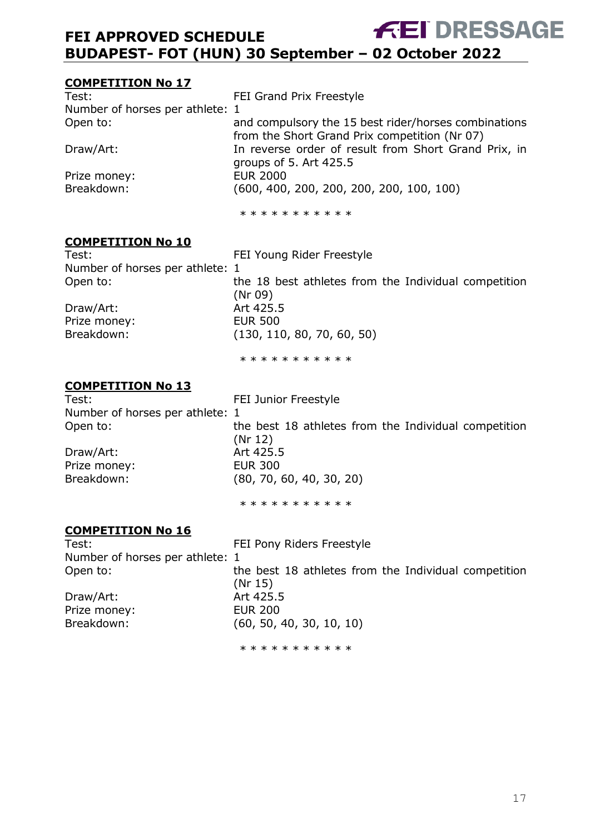#### **COMPETITION No 17**

| Test:                           | FEI Grand Prix Freestyle                             |
|---------------------------------|------------------------------------------------------|
| Number of horses per athlete: 1 |                                                      |
| Open to:                        | and compulsory the 15 best rider/horses combinations |
|                                 | from the Short Grand Prix competition (Nr 07)        |
| Draw/Art:                       | In reverse order of result from Short Grand Prix, in |
|                                 | groups of 5. Art $425.5$                             |
| Prize money:                    | <b>EUR 2000</b>                                      |
| Breakdown:                      | $(600, 400, 200, 200, 200, 200, 100, 100)$           |
|                                 |                                                      |
|                                 |                                                      |

\* \* \* \* \* \* \* \* \* \*

#### **COMPETITION No 10**

| Test:                           | FEI Young Rider Freestyle                                       |
|---------------------------------|-----------------------------------------------------------------|
| Number of horses per athlete: 1 |                                                                 |
| Open to:                        | the 18 best athletes from the Individual competition<br>(Nr 09) |
| Draw/Art:                       | Art 425.5                                                       |
| Prize money:                    | <b>EUR 500</b>                                                  |
| Breakdown:                      | (130, 110, 80, 70, 60, 50)                                      |

\* \* \* \* \* \* \* \* \* \*

#### **COMPETITION No 13**

Test: Test: FEI Junior Freestyle Number of horses per athlete: 1 Open to: the best 18 athletes from the Individual competition (Nr 12) Draw/Art: Art 425.5 Prize money: EUR 300 Breakdown: (80, 70, 60, 40, 30, 20)

\* \* \* \* \* \* \* \* \* \* \*

#### **COMPETITION No 16**

Test: Test: FEI Pony Riders Freestyle Number of horses per athlete: 1 Open to: the best 18 athletes from the Individual competition (Nr 15) Draw/Art: Art 425.5 Prize money: EUR 200 Breakdown: (60, 50, 40, 30, 10, 10) \* \* \* \* \* \* \* \* \* \*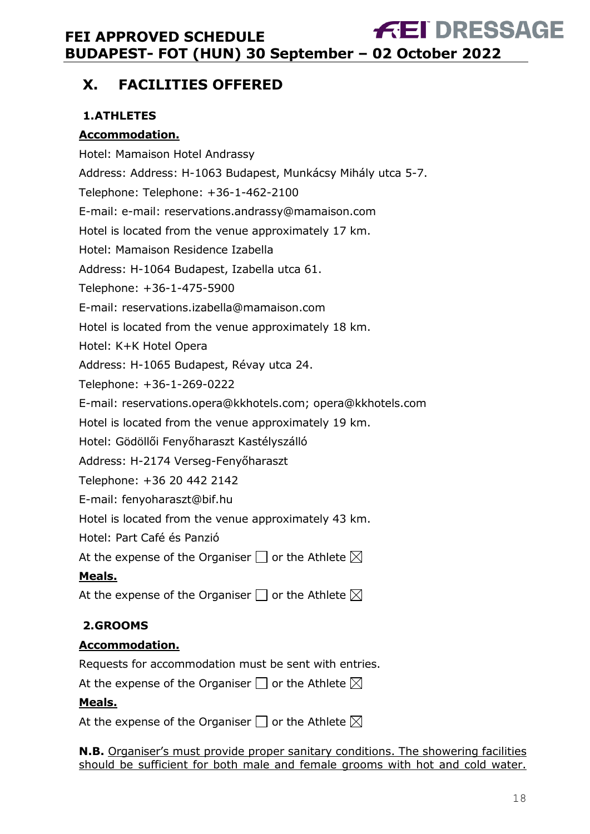# <span id="page-17-0"></span>**X. FACILITIES OFFERED**

# <span id="page-17-1"></span>**1.ATHLETES**

### **Accommodation.**

Hotel: Mamaison Hotel Andrassy Address: Address: H-1063 Budapest, Munkácsy Mihály utca 5-7. Telephone: Telephone: +36-1-462-2100 E-mail: e-mail: reservations.andrassy@mamaison.com Hotel is located from the venue approximately 17 km. Hotel: Mamaison Residence Izabella Address: H-1064 Budapest, Izabella utca 61. Telephone: +36-1-475-5900 E-mail: reservations.izabella@mamaison.com Hotel is located from the venue approximately 18 km. Hotel: K+K Hotel Opera Address: H-1065 Budapest, Révay utca 24. Telephone: +36-1-269-0222 E-mail: reservations.opera@kkhotels.com; opera@kkhotels.com Hotel is located from the venue approximately 19 km. Hotel: Gödöllői Fenyőharaszt Kastélyszálló Address: H-2174 Verseg-Fenyőharaszt Telephone: +36 20 442 2142 E-mail: fenyoharaszt@bif.hu Hotel is located from the venue approximately 43 km. Hotel: Part Café és Panzió

At the expense of the Organiser  $\Box$  or the Athlete  $\boxtimes$ 

### **Meals.**

At the expense of the Organiser  $\Box$  or the Athlete  $\boxtimes$ 

# <span id="page-17-2"></span>**2.GROOMS**

### **Accommodation.**

Requests for accommodation must be sent with entries.

At the expense of the Organiser  $\square$  or the Athlete  $\boxtimes$ 

#### **Meals.**

At the expense of the Organiser  $\Box$  or the Athlete  $\boxtimes$ 

**N.B.** Organiser's must provide proper sanitary conditions. The showering facilities should be sufficient for both male and female grooms with hot and cold water.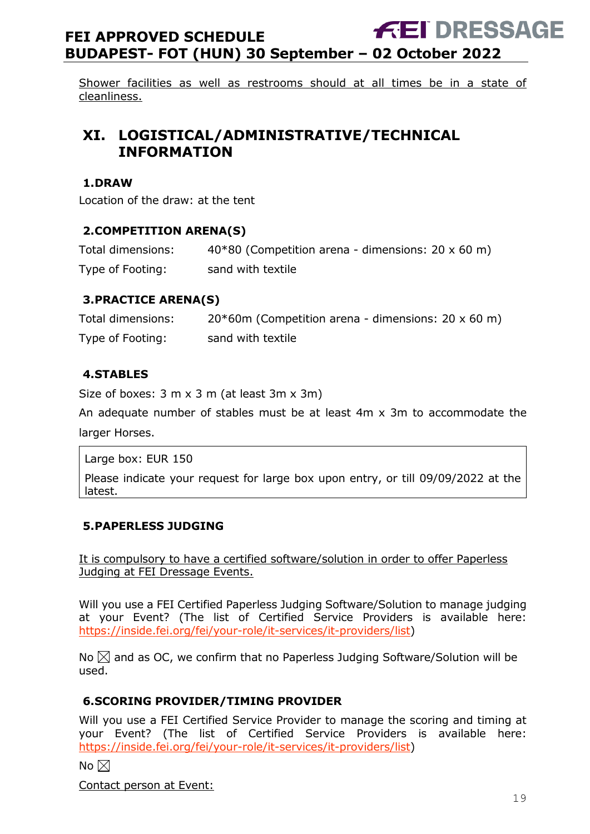Shower facilities as well as restrooms should at all times be in a state of cleanliness.

# <span id="page-18-0"></span>**XI. LOGISTICAL/ADMINISTRATIVE/TECHNICAL INFORMATION**

#### <span id="page-18-1"></span>**1.DRAW**

Location of the draw: at the tent

#### <span id="page-18-2"></span>**2.COMPETITION ARENA(S)**

| Total dimensions: | 40*80 (Competition arena - dimensions: 20 x 60 m) |
|-------------------|---------------------------------------------------|
| Type of Footing:  | sand with textile                                 |

#### <span id="page-18-3"></span>**3.PRACTICE ARENA(S)**

| Total dimensions: | $20*60$ m (Competition arena - dimensions: 20 x 60 m) |
|-------------------|-------------------------------------------------------|
| Type of Footing:  | sand with textile                                     |

#### <span id="page-18-4"></span>**4.STABLES**

Size of boxes: 3 m x 3 m (at least 3m x 3m)

An adequate number of stables must be at least 4m x 3m to accommodate the larger Horses.

Large box: EUR 150

Please indicate your request for large box upon entry, or till 09/09/2022 at the latest.

#### <span id="page-18-5"></span>**5.PAPERLESS JUDGING**

It is compulsory to have a certified software/solution in order to offer Paperless Judging at FEI Dressage Events.

Will you use a FEI Certified Paperless Judging Software/Solution to manage judging at your Event? (The list of Certified Service Providers is available here: [https://inside.fei.org/fei/your-role/it-services/it-providers/list\)](https://inside.fei.org/fei/your-role/it-services/it-providers/list)

No  $\boxtimes$  and as OC, we confirm that no Paperless Judging Software/Solution will be used.

#### <span id="page-18-6"></span>**6.SCORING PROVIDER/TIMING PROVIDER**

Will you use a FEI Certified Service Provider to manage the scoring and timing at your Event? (The list of Certified Service Providers is available here: [https://inside.fei.org/fei/your-role/it-services/it-providers/list\)](https://inside.fei.org/fei/your-role/it-services/it-providers/list)

No  $\boxtimes$ 

Contact person at Event: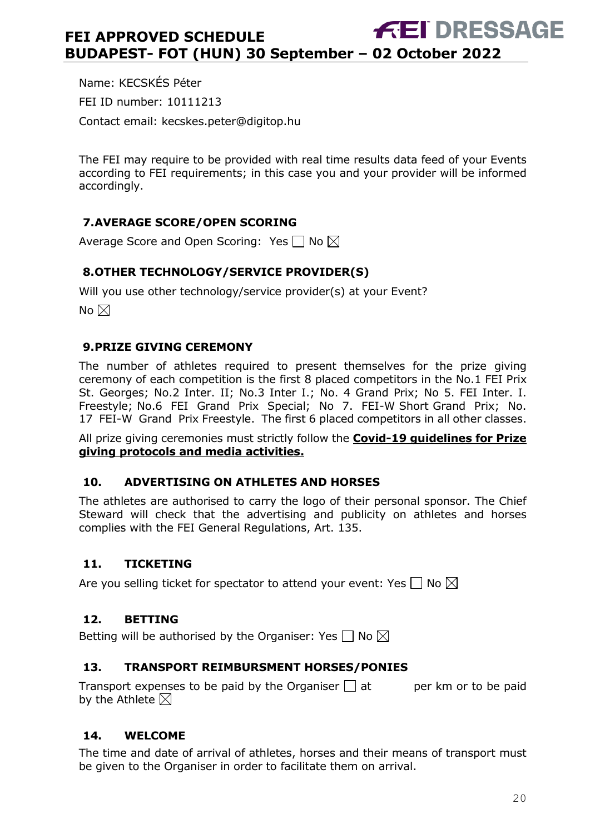Name: KECSKÉS Péter FEI ID number: 10111213 Contact email: kecskes.peter@digitop.hu

The FEI may require to be provided with real time results data feed of your Events according to FEI requirements; in this case you and your provider will be informed accordingly.

### <span id="page-19-0"></span>**7.AVERAGE SCORE/OPEN SCORING**

Average Score and Open Scoring: Yes  $\Box$  No  $\boxtimes$ 

#### <span id="page-19-1"></span>**8.OTHER TECHNOLOGY/SERVICE PROVIDER(S)**

Will you use other technology/service provider(s) at your Event?

No  $\boxtimes$ 

#### <span id="page-19-2"></span>**9.PRIZE GIVING CEREMONY**

The number of athletes required to present themselves for the prize giving ceremony of each competition is the first 8 placed competitors in the No.1 FEI Prix St. Georges; No.2 Inter. II; No.3 Inter I.; No. 4 Grand Prix; No 5. FEI Inter. I. Freestyle; No.6 FEI Grand Prix Special; No 7. FEI-W Short Grand Prix; No. 17 FEI-W Grand Prix Freestyle. The first 6 placed competitors in all other classes.

All prize giving ceremonies must strictly follow the **Covid-19 guidelines for Prize giving protocols and media activities.**

#### <span id="page-19-3"></span>**10. ADVERTISING ON ATHLETES AND HORSES**

The athletes are authorised to carry the logo of their personal sponsor. The Chief Steward will check that the advertising and publicity on athletes and horses complies with the FEI General Regulations, Art. 135.

#### <span id="page-19-4"></span>**11. TICKETING**

Are you selling ticket for spectator to attend your event: Yes  $\Box$  No  $\boxtimes$ 

#### <span id="page-19-5"></span>**12. BETTING**

Betting will be authorised by the Organiser: Yes  $\Box$  No  $\boxtimes$ 

#### <span id="page-19-6"></span>**13. TRANSPORT REIMBURSMENT HORSES/PONIES**

Transport expenses to be paid by the Organiser  $\Box$  at early per km or to be paid by the Athlete  $\boxtimes$ 

#### <span id="page-19-7"></span>**14. WELCOME**

The time and date of arrival of athletes, horses and their means of transport must be given to the Organiser in order to facilitate them on arrival.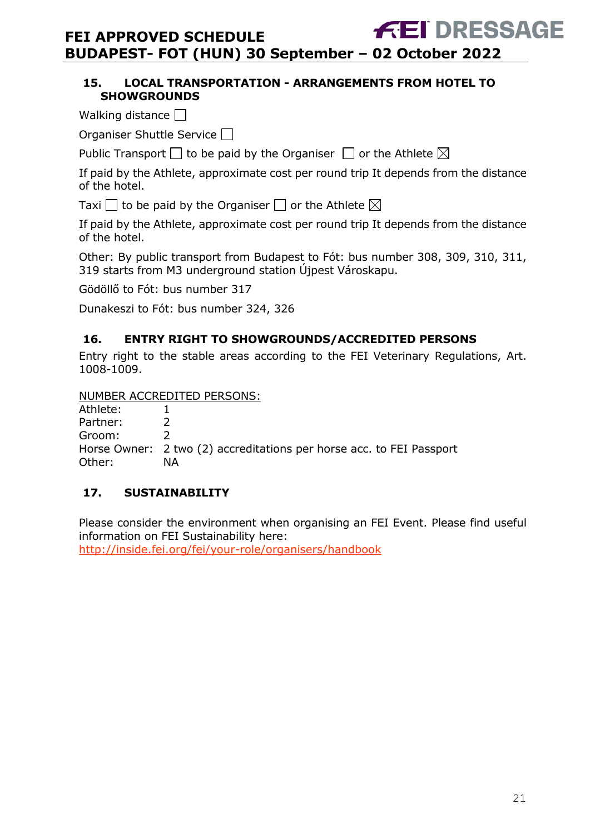#### <span id="page-20-0"></span>**15. LOCAL TRANSPORTATION - ARRANGEMENTS FROM HOTEL TO SHOWGROUNDS**

Walking distance  $\Box$ 

Organiser Shuttle Service

Public Transport  $\square$  to be paid by the Organiser  $\square$  or the Athlete  $\boxtimes$ 

If paid by the Athlete, approximate cost per round trip It depends from the distance of the hotel.

Taxi  $\Box$  to be paid by the Organiser  $\Box$  or the Athlete  $\boxtimes$ 

If paid by the Athlete, approximate cost per round trip It depends from the distance of the hotel.

Other: By public transport from Budapest to Fót: bus number 308, 309, 310, 311, 319 starts from M3 underground station Újpest Városkapu.

Gödöllő to Fót: bus number 317

Dunakeszi to Fót: bus number 324, 326

#### <span id="page-20-1"></span>**16. ENTRY RIGHT TO SHOWGROUNDS/ACCREDITED PERSONS**

Entry right to the stable areas according to the FEI Veterinary Regulations, Art. 1008-1009.

NUMBER ACCREDITED PERSONS:

Athlete: 1<br>Partner: 2 Partner: Groom: 2 Horse Owner: 2 two (2) accreditations per horse acc. to FEI Passport Other: NA

#### <span id="page-20-2"></span>**17. SUSTAINABILITY**

Please consider the environment when organising an FEI Event. Please find useful information on FEI Sustainability here:

<http://inside.fei.org/fei/your-role/organisers/handbook>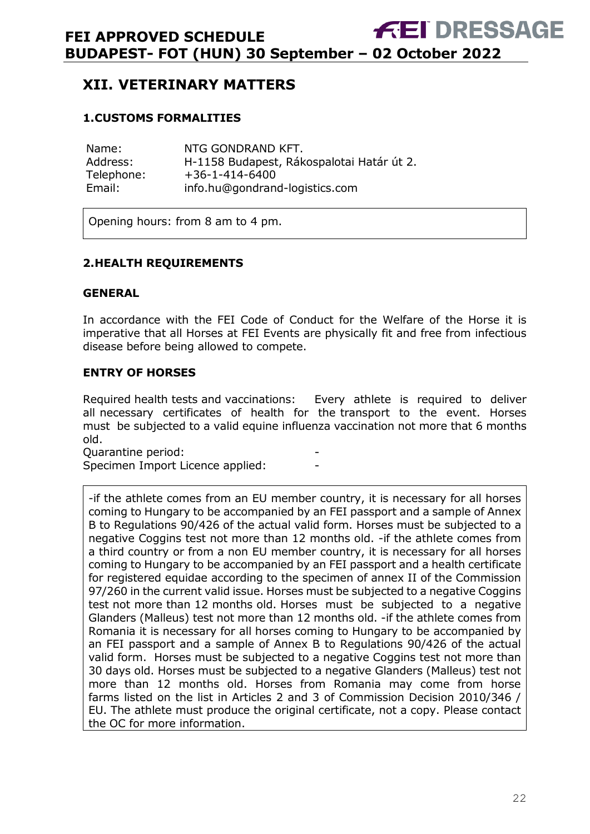# <span id="page-21-0"></span>**XII. VETERINARY MATTERS**

#### <span id="page-21-1"></span>**1.CUSTOMS FORMALITIES**

| Name:      | NTG GONDRAND KFT.                         |
|------------|-------------------------------------------|
| Address:   | H-1158 Budapest, Rákospalotai Határ út 2. |
| Telephone: | $+36-1-414-6400$                          |
| Email:     | info.hu@gondrand-logistics.com            |

Opening hours: from 8 am to 4 pm.

#### <span id="page-21-2"></span>**2.HEALTH REQUIREMENTS**

#### **GENERAL**

In accordance with the FEI Code of Conduct for the Welfare of the Horse it is imperative that all Horses at FEI Events are physically fit and free from infectious disease before being allowed to compete.

#### **ENTRY OF HORSES**

Required health tests and vaccinations: Every athlete is required to deliver all necessary certificates of health for the transport to the event. Horses must be subjected to a valid equine influenza vaccination not more that 6 months old.

Quarantine period: -

Specimen Import Licence applied:

-if the athlete comes from an EU member country, it is necessary for all horses coming to Hungary to be accompanied by an FEI passport and a sample of Annex B to Regulations 90/426 of the actual valid form. Horses must be subjected to a negative Coggins test not more than 12 months old. -if the athlete comes from a third country or from a non EU member country, it is necessary for all horses coming to Hungary to be accompanied by an FEI passport and a health certificate for registered equidae according to the specimen of annex II of the Commission 97/260 in the current valid issue. Horses must be subjected to a negative Coggins test not more than 12 months old. Horses must be subjected to a negative Glanders (Malleus) test not more than 12 months old. -if the athlete comes from Romania it is necessary for all horses coming to Hungary to be accompanied by an FEI passport and a sample of Annex B to Regulations 90/426 of the actual valid form. Horses must be subjected to a negative Coggins test not more than 30 days old. Horses must be subjected to a negative Glanders (Malleus) test not more than 12 months old. Horses from Romania may come from horse farms listed on the list in Articles 2 and 3 of Commission Decision 2010/346 / EU. The athlete must produce the original certificate, not a copy. Please contact the OC for more information.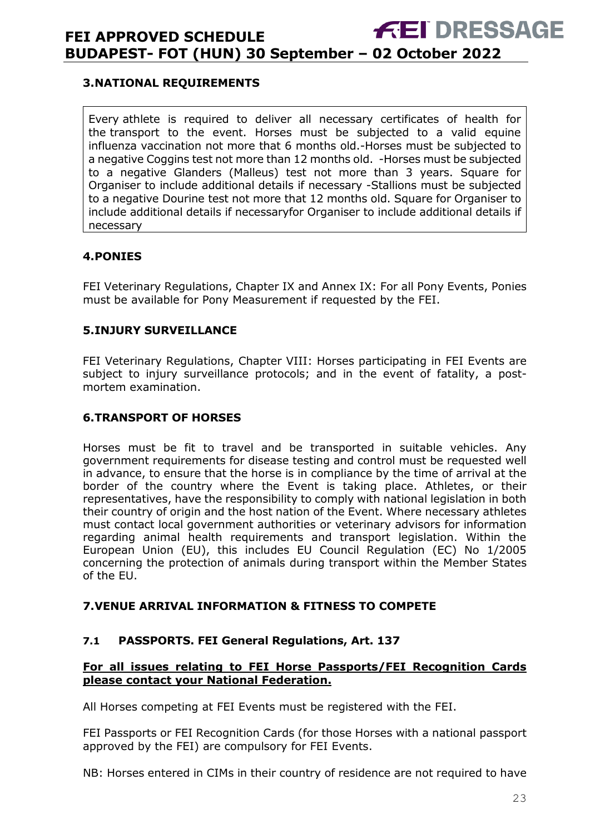#### <span id="page-22-0"></span>**3.NATIONAL REQUIREMENTS**

Every athlete is required to deliver all necessary certificates of health for the transport to the event. Horses must be subjected to a valid equine influenza vaccination not more that 6 months old.-Horses must be subjected to a negative Coggins test not more than 12 months old. -Horses must be subjected to a negative Glanders (Malleus) test not more than 3 years. Square for Organiser to include additional details if necessary -Stallions must be subjected to a negative Dourine test not more that 12 months old. Square for Organiser to include additional details if necessaryfor Organiser to include additional details if necessary

#### <span id="page-22-1"></span>**4.PONIES**

FEI Veterinary Regulations, Chapter IX and Annex IX: For all Pony Events, Ponies must be available for Pony Measurement if requested by the FEI.

#### <span id="page-22-2"></span>**5.INJURY SURVEILLANCE**

FEI Veterinary Regulations, Chapter VIII: Horses participating in FEI Events are subject to injury surveillance protocols; and in the event of fatality, a postmortem examination.

#### <span id="page-22-3"></span>**6.TRANSPORT OF HORSES**

Horses must be fit to travel and be transported in suitable vehicles. Any government requirements for disease testing and control must be requested well in advance, to ensure that the horse is in compliance by the time of arrival at the border of the country where the Event is taking place. Athletes, or their representatives, have the responsibility to comply with national legislation in both their country of origin and the host nation of the Event. Where necessary athletes must contact local government authorities or veterinary advisors for information regarding animal health requirements and transport legislation. Within the European Union (EU), this includes EU Council Regulation (EC) No 1/2005 concerning the protection of animals during transport within the Member States of the EU.

#### <span id="page-22-4"></span>**7.VENUE ARRIVAL INFORMATION & FITNESS TO COMPETE**

#### **7.1 PASSPORTS. FEI General Regulations, Art. 137**

#### **For all issues relating to FEI Horse Passports/FEI Recognition Cards please contact your National Federation.**

All Horses competing at FEI Events must be registered with the FEI.

FEI Passports or FEI Recognition Cards (for those Horses with a national passport approved by the FEI) are compulsory for FEI Events.

NB: Horses entered in CIMs in their country of residence are not required to have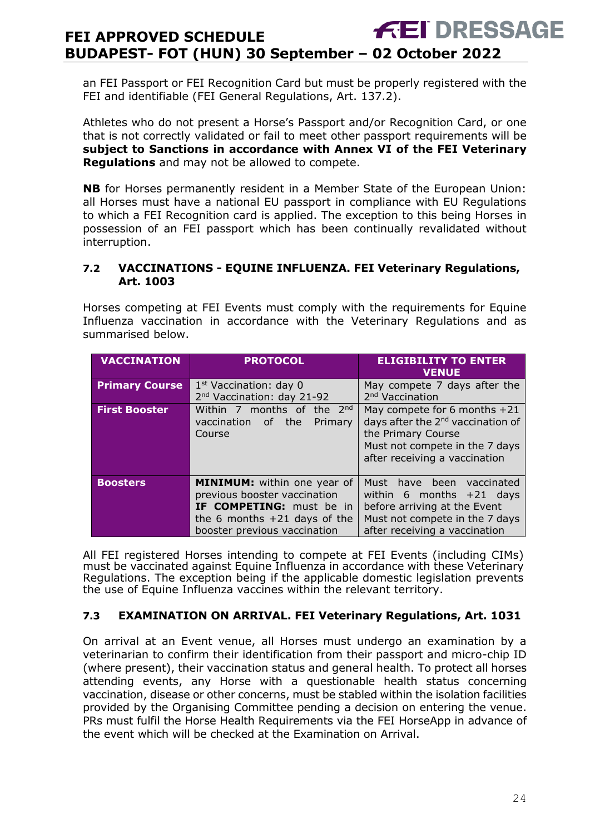an FEI Passport or FEI Recognition Card but must be properly registered with the FEI and identifiable (FEI General Regulations, Art. 137.2).

Athletes who do not present a Horse's Passport and/or Recognition Card, or one that is not correctly validated or fail to meet other passport requirements will be **subject to Sanctions in accordance with Annex VI of the FEI Veterinary Regulations** and may not be allowed to compete.

**NB** for Horses permanently resident in a Member State of the European Union: all Horses must have a national EU passport in compliance with EU Regulations to which a FEI Recognition card is applied. The exception to this being Horses in possession of an FEI passport which has been continually revalidated without interruption.

#### **7.2 VACCINATIONS - EQUINE INFLUENZA. FEI Veterinary Regulations, Art. 1003**

Horses competing at FEI Events must comply with the requirements for Equine Influenza vaccination in accordance with the Veterinary Regulations and as summarised below.

| <b>VACCINATION</b>    | <b>PROTOCOL</b>                                                                                                                                                         | <b>ELIGIBILITY TO ENTER</b><br><b>VENUE</b>                                                                                                                            |
|-----------------------|-------------------------------------------------------------------------------------------------------------------------------------------------------------------------|------------------------------------------------------------------------------------------------------------------------------------------------------------------------|
| <b>Primary Course</b> | $1st$ Vaccination: day 0<br>2 <sup>nd</sup> Vaccination: day 21-92                                                                                                      | May compete 7 days after the<br>2 <sup>nd</sup> Vaccination                                                                                                            |
|                       |                                                                                                                                                                         |                                                                                                                                                                        |
| <b>First Booster</b>  | Within 7 months of the 2nd<br>vaccination of<br>the<br>Primary<br>Course                                                                                                | May compete for 6 months +21<br>days after the 2 <sup>nd</sup> vaccination of<br>the Primary Course<br>Must not compete in the 7 days<br>after receiving a vaccination |
| <b>Boosters</b>       | <b>MINIMUM:</b> within one year of<br>previous booster vaccination<br><b>IF COMPETING:</b> must be in<br>the 6 months $+21$ days of the<br>booster previous vaccination | Must<br>have been vaccinated<br>within 6 months $+21$ days<br>before arriving at the Event<br>Must not compete in the 7 days<br>after receiving a vaccination          |

All FEI registered Horses intending to compete at FEI Events (including CIMs) must be vaccinated against Equine Influenza in accordance with these Veterinary Regulations. The exception being if the applicable domestic legislation prevents the use of Equine Influenza vaccines within the relevant territory.

#### **7.3 EXAMINATION ON ARRIVAL. FEI Veterinary Regulations, Art. 1031**

On arrival at an Event venue, all Horses must undergo an examination by a veterinarian to confirm their identification from their passport and micro-chip ID (where present), their vaccination status and general health. To protect all horses attending events, any Horse with a questionable health status concerning vaccination, disease or other concerns, must be stabled within the isolation facilities provided by the Organising Committee pending a decision on entering the venue. PRs must fulfil the Horse Health Requirements via the FEI HorseApp in advance of the event which will be checked at the Examination on Arrival.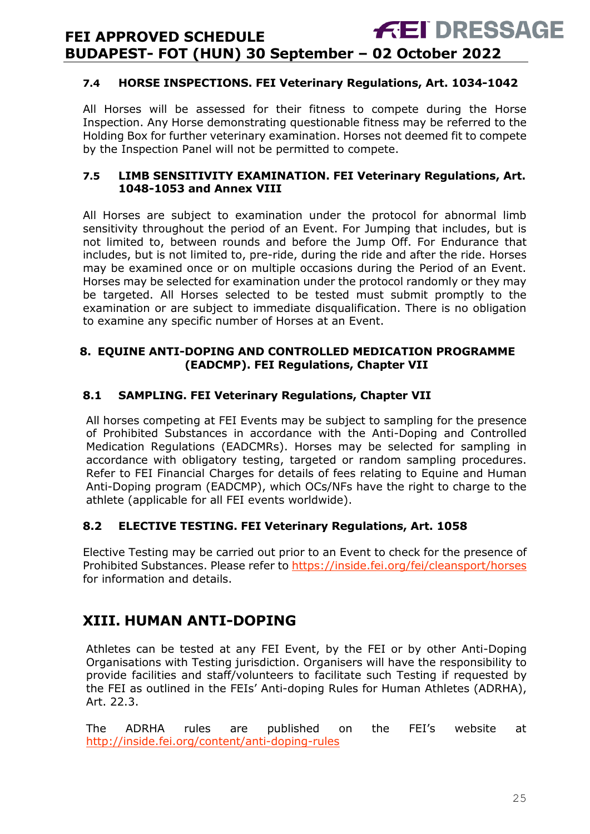#### **7.4 HORSE INSPECTIONS. FEI Veterinary Regulations, Art. 1034-1042**

All Horses will be assessed for their fitness to compete during the Horse Inspection. Any Horse demonstrating questionable fitness may be referred to the Holding Box for further veterinary examination. Horses not deemed fit to compete by the Inspection Panel will not be permitted to compete.

#### **7.5 LIMB SENSITIVITY EXAMINATION. FEI Veterinary Regulations, Art. 1048-1053 and Annex VIII**

All Horses are subject to examination under the protocol for abnormal limb sensitivity throughout the period of an Event. For Jumping that includes, but is not limited to, between rounds and before the Jump Off. For Endurance that includes, but is not limited to, pre-ride, during the ride and after the ride. Horses may be examined once or on multiple occasions during the Period of an Event. Horses may be selected for examination under the protocol randomly or they may be targeted. All Horses selected to be tested must submit promptly to the examination or are subject to immediate disqualification. There is no obligation to examine any specific number of Horses at an Event.

#### <span id="page-24-0"></span>**8. EQUINE ANTI-DOPING AND CONTROLLED MEDICATION PROGRAMME (EADCMP). FEI Regulations, Chapter VII**

#### **8.1 SAMPLING. FEI Veterinary Regulations, Chapter VII**

All horses competing at FEI Events may be subject to sampling for the presence of Prohibited Substances in accordance with the Anti-Doping and Controlled Medication Regulations (EADCMRs). Horses may be selected for sampling in accordance with obligatory testing, targeted or random sampling procedures. Refer to FEI Financial Charges for details of fees relating to Equine and Human Anti-Doping program (EADCMP), which OCs/NFs have the right to charge to the athlete (applicable for all FEI events worldwide).

#### **8.2 ELECTIVE TESTING. FEI Veterinary Regulations, Art. 1058**

Elective Testing may be carried out prior to an Event to check for the presence of Prohibited Substances. Please refer to https://inside.fei.org/fei/cleansport/horses for information and details.

# <span id="page-24-1"></span>**XIII. HUMAN ANTI-DOPING**

Athletes can be tested at any FEI Event, by the FEI or by other Anti-Doping Organisations with Testing jurisdiction. Organisers will have the responsibility to provide facilities and staff/volunteers to facilitate such Testing if requested by the FEI as outlined in the FEIs' Anti-doping Rules for Human Athletes (ADRHA), Art. 22.3.

The ADRHA rules are published on the FEI's website at <http://inside.fei.org/content/anti-doping-rules>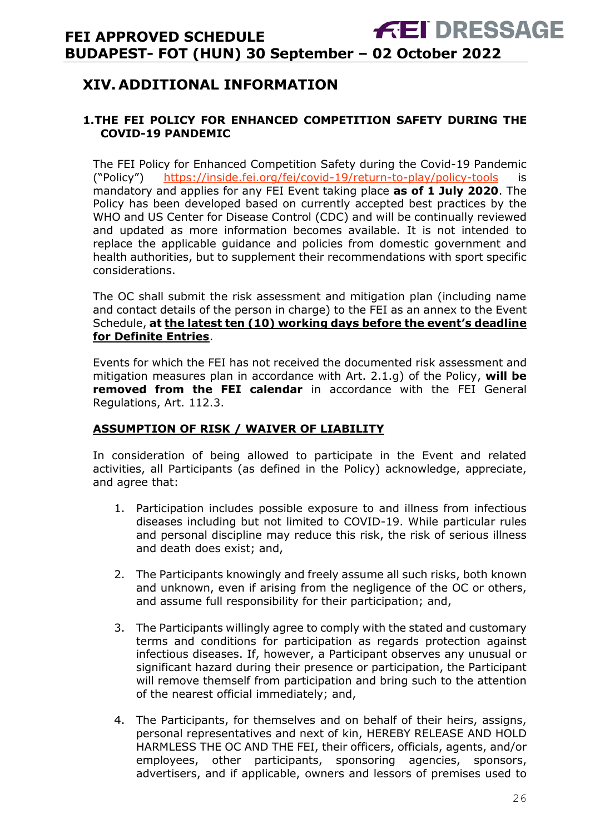# <span id="page-25-0"></span>**XIV. ADDITIONAL INFORMATION**

#### <span id="page-25-1"></span>**1.THE FEI POLICY FOR ENHANCED COMPETITION SAFETY DURING THE COVID-19 PANDEMIC**

The FEI Policy for Enhanced Competition Safety during the Covid-19 Pandemic ("Policy") <https://inside.fei.org/fei/covid-19/return-to-play/policy-tools> is mandatory and applies for any FEI Event taking place **as of 1 July 2020**. The Policy has been developed based on currently accepted best practices by the WHO and US Center for Disease Control (CDC) and will be continually reviewed and updated as more information becomes available. It is not intended to replace the applicable guidance and policies from domestic government and health authorities, but to supplement their recommendations with sport specific considerations.

The OC shall submit the risk assessment and mitigation plan (including name and contact details of the person in charge) to the FEI as an annex to the Event Schedule, **at the latest ten (10) working days before the event's deadline for Definite Entries**.

Events for which the FEI has not received the documented risk assessment and mitigation measures plan in accordance with Art. 2.1.g) of the Policy, **will be removed from the FEI calendar** in accordance with the FEI General Regulations, Art. 112.3.

#### **ASSUMPTION OF RISK / WAIVER OF LIABILITY**

In consideration of being allowed to participate in the Event and related activities, all Participants (as defined in the Policy) acknowledge, appreciate, and agree that:

- 1. Participation includes possible exposure to and illness from infectious diseases including but not limited to COVID-19. While particular rules and personal discipline may reduce this risk, the risk of serious illness and death does exist; and,
- 2. The Participants knowingly and freely assume all such risks, both known and unknown, even if arising from the negligence of the OC or others, and assume full responsibility for their participation; and,
- 3. The Participants willingly agree to comply with the stated and customary terms and conditions for participation as regards protection against infectious diseases. If, however, a Participant observes any unusual or significant hazard during their presence or participation, the Participant will remove themself from participation and bring such to the attention of the nearest official immediately; and,
- 4. The Participants, for themselves and on behalf of their heirs, assigns, personal representatives and next of kin, HEREBY RELEASE AND HOLD HARMLESS THE OC AND THE FEI, their officers, officials, agents, and/or employees, other participants, sponsoring agencies, sponsors, advertisers, and if applicable, owners and lessors of premises used to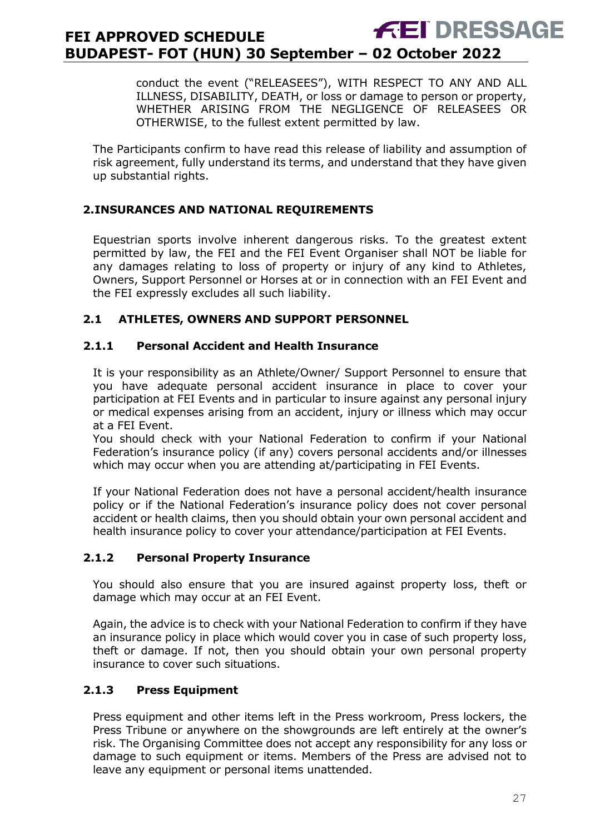conduct the event ("RELEASEES"), WITH RESPECT TO ANY AND ALL ILLNESS, DISABILITY, DEATH, or loss or damage to person or property, WHETHER ARISING FROM THE NEGLIGENCE OF RELEASEES OR OTHERWISE, to the fullest extent permitted by law.

The Participants confirm to have read this release of liability and assumption of risk agreement, fully understand its terms, and understand that they have given up substantial rights.

#### <span id="page-26-0"></span>**2.INSURANCES AND NATIONAL REQUIREMENTS**

Equestrian sports involve inherent dangerous risks. To the greatest extent permitted by law, the FEI and the FEI Event Organiser shall NOT be liable for any damages relating to loss of property or injury of any kind to Athletes, Owners, Support Personnel or Horses at or in connection with an FEI Event and the FEI expressly excludes all such liability.

#### **2.1 ATHLETES, OWNERS AND SUPPORT PERSONNEL**

#### **2.1.1 Personal Accident and Health Insurance**

It is your responsibility as an Athlete/Owner/ Support Personnel to ensure that you have adequate personal accident insurance in place to cover your participation at FEI Events and in particular to insure against any personal injury or medical expenses arising from an accident, injury or illness which may occur at a FEI Event.

You should check with your National Federation to confirm if your National Federation's insurance policy (if any) covers personal accidents and/or illnesses which may occur when you are attending at/participating in FEI Events.

If your National Federation does not have a personal accident/health insurance policy or if the National Federation's insurance policy does not cover personal accident or health claims, then you should obtain your own personal accident and health insurance policy to cover your attendance/participation at FEI Events.

#### **2.1.2 Personal Property Insurance**

You should also ensure that you are insured against property loss, theft or damage which may occur at an FEI Event.

Again, the advice is to check with your National Federation to confirm if they have an insurance policy in place which would cover you in case of such property loss, theft or damage. If not, then you should obtain your own personal property insurance to cover such situations.

#### **2.1.3 Press Equipment**

Press equipment and other items left in the Press workroom, Press lockers, the Press Tribune or anywhere on the showgrounds are left entirely at the owner's risk. The Organising Committee does not accept any responsibility for any loss or damage to such equipment or items. Members of the Press are advised not to leave any equipment or personal items unattended.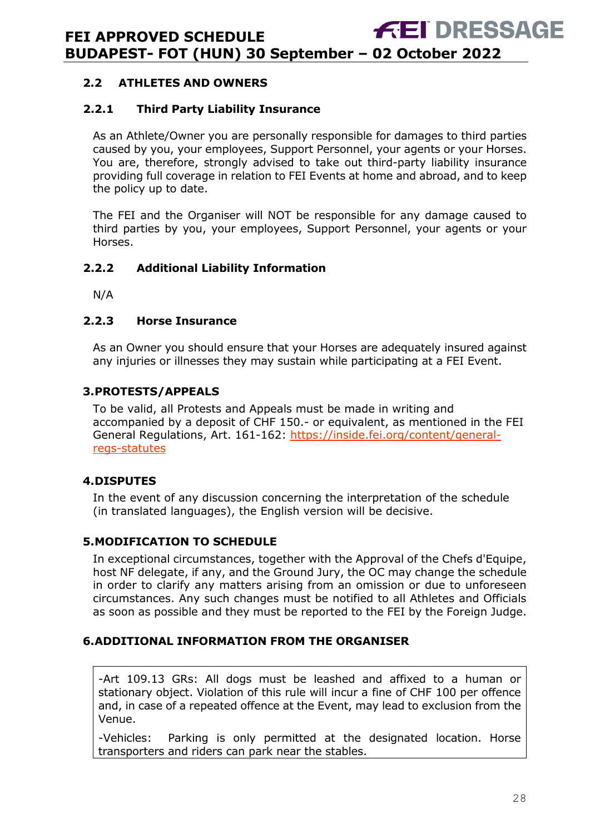#### **2.2 ATHLETES AND OWNERS**

#### **2.2.1 Third Party Liability Insurance**

As an Athlete/Owner you are personally responsible for damages to third parties caused by you, your employees, Support Personnel, your agents or your Horses. You are, therefore, strongly advised to take out third-party liability insurance providing full coverage in relation to FEI Events at home and abroad, and to keep the policy up to date.

The FEI and the Organiser will NOT be responsible for any damage caused to third parties by you, your employees, Support Personnel, your agents or your Horses.

#### **2.2.2 Additional Liability Information**

N/A

#### **2.2.3 Horse Insurance**

As an Owner you should ensure that your Horses are adequately insured against any injuries or illnesses they may sustain while participating at a FEI Event.

#### <span id="page-27-0"></span>**3.PROTESTS/APPEALS**

To be valid, all Protests and Appeals must be made in writing and accompanied by a deposit of CHF 150.- or equivalent, as mentioned in the FEI General Regulations, Art. 161-162: [https://inside.fei.org/content/general](https://inside.fei.org/content/general-regs-statutes)[regs-statutes](https://inside.fei.org/content/general-regs-statutes)

#### <span id="page-27-1"></span>**4.DISPUTES**

In the event of any discussion concerning the interpretation of the schedule (in translated languages), the English version will be decisive.

#### <span id="page-27-2"></span>**5.MODIFICATION TO SCHEDULE**

In exceptional circumstances, together with the Approval of the Chefs d'Equipe, host NF delegate, if any, and the Ground Jury, the OC may change the schedule in order to clarify any matters arising from an omission or due to unforeseen circumstances. Any such changes must be notified to all Athletes and Officials as soon as possible and they must be reported to the FEI by the Foreign Judge.

#### <span id="page-27-3"></span>**6.ADDITIONAL INFORMATION FROM THE ORGANISER**

-Art 109.13 GRs: All dogs must be leashed and affixed to a human or stationary object. Violation of this rule will incur a fine of CHF 100 per offence and, in case of a repeated offence at the Event, may lead to exclusion from the Venue.

-Vehicles: Parking is only permitted at the designated location. Horse transporters and riders can park near the stables.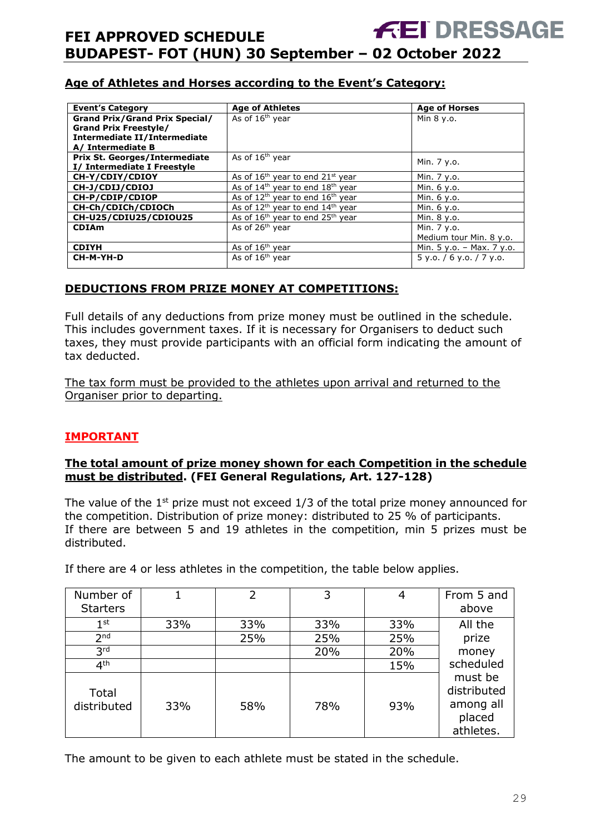#### **Age of Athletes and Horses according to the Event's Category:**

| <b>Event's Category</b>                                                                                                    | <b>Age of Athletes</b>                                   | <b>Age of Horses</b>        |
|----------------------------------------------------------------------------------------------------------------------------|----------------------------------------------------------|-----------------------------|
| <b>Grand Prix/Grand Prix Special/</b><br><b>Grand Prix Freestyle/</b><br>Intermediate II/Intermediate<br>A/ Intermediate B | As of 16 <sup>th</sup> year                              | Min $8 y.o.$                |
| <b>Prix St. Georges/Intermediate</b><br>I/ Intermediate I Freestyle                                                        | As of 16 <sup>th</sup> year                              | Min. 7 y.o.                 |
| CH-Y/CDIY/CDIOY                                                                                                            | As of $16th$ year to end $21st$ year                     | Min. 7 y.o.                 |
| CH-J/CDIJ/CDIOJ                                                                                                            | As of $14th$ year to end $18th$ year                     | Min. 6 y.o.                 |
| CH-P/CDIP/CDIOP                                                                                                            | As of $12th$ year to end $16th$ year                     | Min. 6 y.o.                 |
| CH-Ch/CDICh/CDIOCh                                                                                                         | As of 12 <sup>th</sup> year to end 14 <sup>th</sup> year | Min. 6 y.o.                 |
| CH-U25/CDIU25/CDIOU25                                                                                                      | As of $16th$ year to end $25th$ year                     | Min. 8 y.o.                 |
| <b>CDIAm</b>                                                                                                               | As of 26 <sup>th</sup> year                              | Min. 7 y.o.                 |
|                                                                                                                            |                                                          | Medium tour Min. 8 y.o.     |
| <b>CDIYH</b>                                                                                                               | As of 16 <sup>th</sup> year                              | Min. $5 y.o. - Max. 7 y.o.$ |
| CH-M-YH-D                                                                                                                  | As of 16 <sup>th</sup> year                              | 5 y.o. / 6 y.o. / 7 y.o.    |

#### **DEDUCTIONS FROM PRIZE MONEY AT COMPETITIONS:**

Full details of any deductions from prize money must be outlined in the schedule. This includes government taxes. If it is necessary for Organisers to deduct such taxes, they must provide participants with an official form indicating the amount of tax deducted.

The tax form must be provided to the athletes upon arrival and returned to the Organiser prior to departing.

#### **IMPORTANT**

#### **The total amount of prize money shown for each Competition in the schedule must be distributed. (FEI General Regulations, Art. 127-128)**

The value of the  $1<sup>st</sup>$  prize must not exceed  $1/3$  of the total prize money announced for the competition. Distribution of prize money: distributed to 25 % of participants. If there are between 5 and 19 athletes in the competition, min 5 prizes must be distributed.

If there are 4 or less athletes in the competition, the table below applies.

| Number of<br><b>Starters</b> |     | 2   | 3   | 4   | From 5 and<br>above                                        |
|------------------------------|-----|-----|-----|-----|------------------------------------------------------------|
| $1^{\rm st}$                 | 33% | 33% | 33% | 33% | All the                                                    |
| 2 <sub>nd</sub>              |     | 25% | 25% | 25% | prize                                                      |
| 3 <sup>rd</sup>              |     |     | 20% | 20% | money                                                      |
| 4 <sup>th</sup>              |     |     |     | 15% | scheduled                                                  |
| Total<br>distributed         | 33% | 58% | 78% | 93% | must be<br>distributed<br>among all<br>placed<br>athletes. |

The amount to be given to each athlete must be stated in the schedule.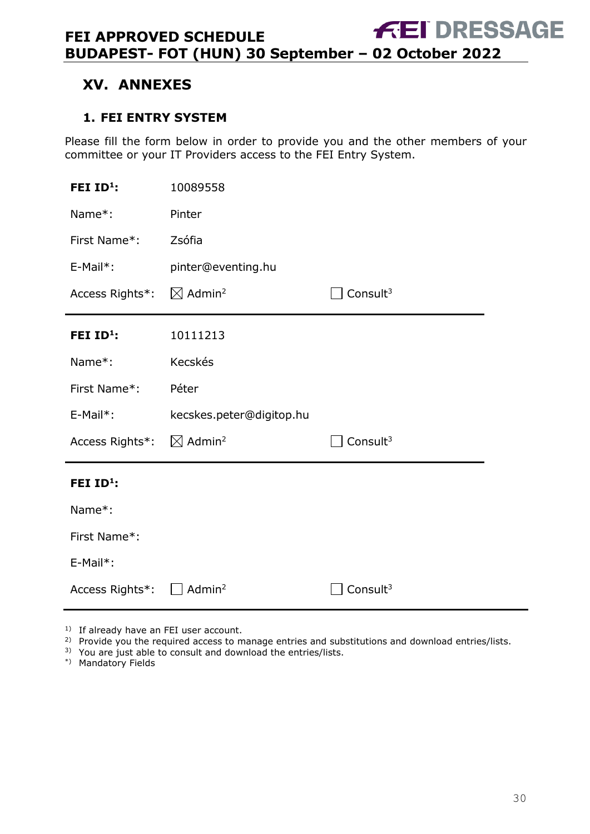# <span id="page-29-0"></span>**XV. ANNEXES**

#### <span id="page-29-1"></span>**1. FEI ENTRY SYSTEM**

Please fill the form below in order to provide you and the other members of your committee or your IT Providers access to the FEI Entry System.

| FEI $ID1$ :     | 10089558                       |             |
|-----------------|--------------------------------|-------------|
| Name*:          | Pinter                         |             |
| First Name*:    | Zsófia                         |             |
| E-Mail*:        | pinter@eventing.hu             |             |
| Access Rights*: | $\boxtimes$ Admin <sup>2</sup> | Consult $3$ |
| FEI $ID^1$ :    | 10111213                       |             |
| Name*:          | Kecskés                        |             |
|                 |                                |             |
| First Name*:    | Péter                          |             |
| E-Mail*:        | kecskes.peter@digitop.hu       |             |
| Access Rights*: | $\boxtimes$ Admin <sup>2</sup> | Consult $3$ |
| FEI $ID^1$ :    |                                |             |
| Name*:          |                                |             |
| First Name*:    |                                |             |
| E-Mail*:        |                                |             |

<sup>1)</sup> If already have an FEI user account.

<sup>2)</sup> Provide you the required access to manage entries and substitutions and download entries/lists.

3) You are just able to consult and download the entries/lists.

\*) Mandatory Fields